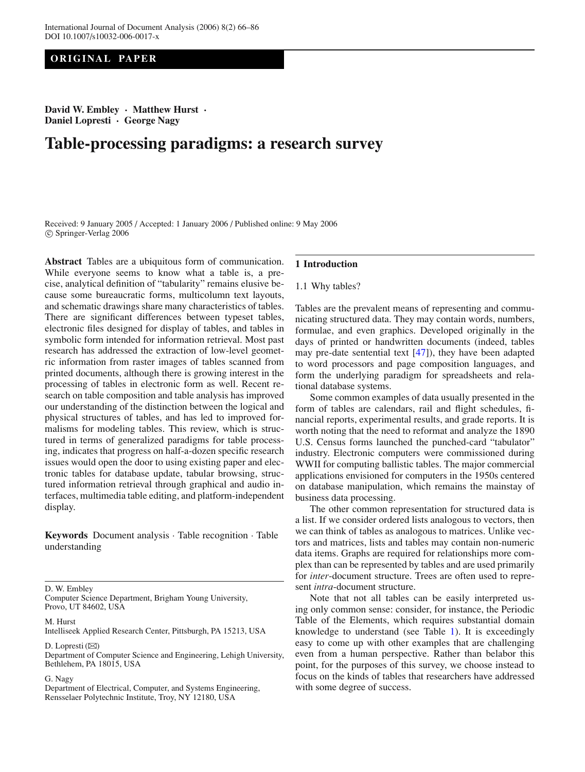# **ORIGINAL PAPER**

**David W. Embley · Matthew Hurst · Daniel Lopresti · George Nagy**

# **Table-processing paradigms: a research survey**

Received: 9 January 2005 / Accepted: 1 January 2006 / Published online: 9 May 2006 c Springer-Verlag 2006

**Abstract** Tables are a ubiquitous form of communication. While everyone seems to know what a table is, a precise, analytical definition of "tabularity" remains elusive because some bureaucratic forms, multicolumn text layouts, and schematic drawings share many characteristics of tables. There are significant differences between typeset tables, electronic files designed for display of tables, and tables in symbolic form intended for information retrieval. Most past research has addressed the extraction of low-level geometric information from raster images of tables scanned from printed documents, although there is growing interest in the processing of tables in electronic form as well. Recent research on table composition and table analysis has improved our understanding of the distinction between the logical and physical structures of tables, and has led to improved formalisms for modeling tables. This review, which is structured in terms of generalized paradigms for table processing, indicates that progress on half-a-dozen specific research issues would open the door to using existing paper and electronic tables for database update, tabular browsing, structured information retrieval through graphical and audio interfaces, multimedia table editing, and platform-independent display.

**Keywords** Document analysis · Table recognition · Table understanding

D. W. Embley

Computer Science Department, Brigham Young University, Provo, UT 84602, USA

M. Hurst

Intelliseek Applied Research Center, Pittsburgh, PA 15213, USA

D. Lopresti  $(\boxtimes)$ 

Department of Computer Science and Engineering, Lehigh University, Bethlehem, PA 18015, USA

G. Nagy

Department of Electrical, Computer, and Systems Engineering, Rensselaer Polytechnic Institute, Troy, NY 12180, USA

# **1 Introduction**

#### 1.1 Why tables?

Tables are the prevalent means of representing and communicating structured data. They may contain words, numbers, formulae, and even graphics. Developed originally in the days of printed or handwritten documents (indeed, tables may pre-date sentential text [\[47](#page-19-0)]), they have been adapted to word processors and page composition languages, and form the underlying paradigm for spreadsheets and relational database systems.

Some common examples of data usually presented in the form of tables are calendars, rail and flight schedules, financial reports, experimental results, and grade reports. It is worth noting that the need to reformat and analyze the 1890 U.S. Census forms launched the punched-card "tabulator" industry. Electronic computers were commissioned during WWII for computing ballistic tables. The major commercial applications envisioned for computers in the 1950s centered on database manipulation, which remains the mainstay of business data processing.

The other common representation for structured data is a list. If we consider ordered lists analogous to vectors, then we can think of tables as analogous to matrices. Unlike vectors and matrices, lists and tables may contain non-numeric data items. Graphs are required for relationships more complex than can be represented by tables and are used primarily for *inter*-document structure. Trees are often used to represent *intra*-document structure.

Note that not all tables can be easily interpreted using only common sense: consider, for instance, the Periodic Table of the Elements, which requires substantial domain knowledge to understand (see Table [1\)](#page-1-0). It is exceedingly easy to come up with other examples that are challenging even from a human perspective. Rather than belabor this point, for the purposes of this survey, we choose instead to focus on the kinds of tables that researchers have addressed with some degree of success.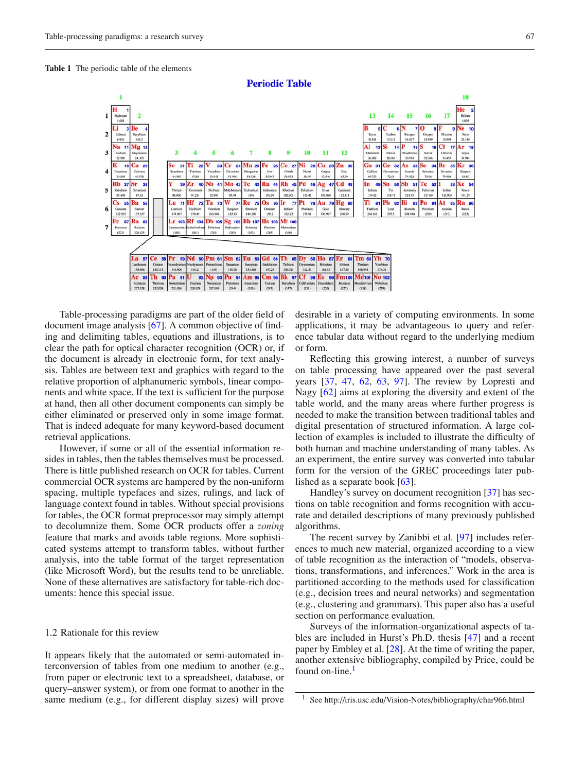## <span id="page-1-0"></span>**Table 1** The periodic table of the elements



Table-processing paradigms are part of the older field of document image analysis [\[67\]](#page-19-1). A common objective of finding and delimiting tables, equations and illustrations, is to clear the path for optical character recognition (OCR) or, if the document is already in electronic form, for text analysis. Tables are between text and graphics with regard to the relative proportion of alphanumeric symbols, linear components and white space. If the text is sufficient for the purpose at hand, then all other document components can simply be either eliminated or preserved only in some image format. That is indeed adequate for many keyword-based document retrieval applications.

However, if some or all of the essential information resides in tables, then the tables themselves must be processed. There is little published research on OCR for tables. Current commercial OCR systems are hampered by the non-uniform spacing, multiple typefaces and sizes, rulings, and lack of language context found in tables. Without special provisions for tables, the OCR format preprocessor may simply attempt to decolumnize them. Some OCR products offer a *zoning* feature that marks and avoids table regions. More sophisticated systems attempt to transform tables, without further analysis, into the table format of the target representation (like Microsoft Word), but the results tend to be unreliable. None of these alternatives are satisfactory for table-rich documents: hence this special issue.

## 1.2 Rationale for this review

It appears likely that the automated or semi-automated interconversion of tables from one medium to another (e.g., from paper or electronic text to a spreadsheet, database, or query–answer system), or from one format to another in the same medium (e.g., for different display sizes) will prove desirable in a variety of computing environments. In some applications, it may be advantageous to query and reference tabular data without regard to the underlying medium or form.

Reflecting this growing interest, a number of surveys on table processing have appeared over the past several years [\[37](#page-18-0), [47](#page-19-0), [62,](#page-19-2) [63](#page-19-3), [97](#page-20-0)]. The review by Lopresti and Nagy [\[62](#page-19-2)] aims at exploring the diversity and extent of the table world, and the many areas where further progress is needed to make the transition between traditional tables and digital presentation of structured information. A large collection of examples is included to illustrate the difficulty of both human and machine understanding of many tables. As an experiment, the entire survey was converted into tabular form for the version of the GREC proceedings later published as a separate book [\[63](#page-19-3)].

Handley's survey on document recognition [\[37\]](#page-18-0) has sections on table recognition and forms recognition with accurate and detailed descriptions of many previously published algorithms.

The recent survey by Zanibbi et al. [\[97\]](#page-20-0) includes references to much new material, organized according to a view of table recognition as the interaction of "models, observations, transformations, and inferences." Work in the area is partitioned according to the methods used for classification (e.g., decision trees and neural networks) and segmentation (e.g., clustering and grammars). This paper also has a useful section on performance evaluation.

Surveys of the information-organizational aspects of tables are included in Hurst's Ph.D. thesis [\[47\]](#page-19-0) and a recent paper by Embley et al. [\[28\]](#page-18-1). At the time of writing the paper, another extensive bibliography, compiled by Price, could be found on-line.<sup>1</sup>

<span id="page-1-1"></span><sup>1</sup> See http://iris.usc.edu/Vision-Notes/bibliography/char966.html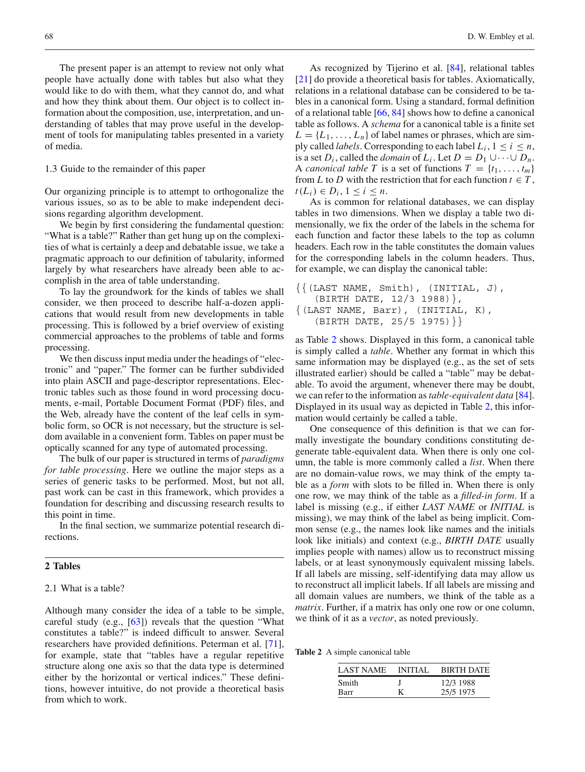The present paper is an attempt to review not only what people have actually done with tables but also what they would like to do with them, what they cannot do, and what and how they think about them. Our object is to collect information about the composition, use, interpretation, and understanding of tables that may prove useful in the development of tools for manipulating tables presented in a variety of media.

## 1.3 Guide to the remainder of this paper

Our organizing principle is to attempt to orthogonalize the various issues, so as to be able to make independent decisions regarding algorithm development.

We begin by first considering the fundamental question: "What is a table?" Rather than get hung up on the complexities of what is certainly a deep and debatable issue, we take a pragmatic approach to our definition of tabularity, informed largely by what researchers have already been able to accomplish in the area of table understanding.

To lay the groundwork for the kinds of tables we shall consider, we then proceed to describe half-a-dozen applications that would result from new developments in table processing. This is followed by a brief overview of existing commercial approaches to the problems of table and forms processing.

We then discuss input media under the headings of "electronic" and "paper." The former can be further subdivided into plain ASCII and page-descriptor representations. Electronic tables such as those found in word processing documents, e-mail, Portable Document Format (PDF) files, and the Web, already have the content of the leaf cells in symbolic form, so OCR is not necessary, but the structure is seldom available in a convenient form. Tables on paper must be optically scanned for any type of automated processing.

The bulk of our paper is structured in terms of *paradigms for table processing*. Here we outline the major steps as a series of generic tasks to be performed. Most, but not all, past work can be cast in this framework, which provides a foundation for describing and discussing research results to this point in time.

In the final section, we summarize potential research directions.

# **2 Tables**

## 2.1 What is a table?

Although many consider the idea of a table to be simple, careful study (e.g., [\[63](#page-19-3)]) reveals that the question "What constitutes a table?" is indeed difficult to answer. Several researchers have provided definitions. Peterman et al. [\[71](#page-19-4)], for example, state that "tables have a regular repetitive structure along one axis so that the data type is determined either by the horizontal or vertical indices." These definitions, however intuitive, do not provide a theoretical basis from which to work.

As recognized by Tijerino et al. [\[84\]](#page-20-1), relational tables [\[21\]](#page-18-2) do provide a theoretical basis for tables. Axiomatically, relations in a relational database can be considered to be tables in a canonical form. Using a standard, formal definition of a relational table [\[66,](#page-19-5) [84\]](#page-20-1) shows how to define a canonical table as follows. A *schema* for a canonical table is a finite set  $L = \{L_1, \ldots, L_n\}$  of label names or phrases, which are simply called *labels*. Corresponding to each label  $L_i$ ,  $1 \le i \le n$ , is a set *D<sub>i</sub>*, called the *domain* of  $L_i$ . Let  $D = D_1 \cup \cdots \cup D_n$ . A *canonical table T* is a set of functions  $T = \{t_1, \ldots, t_m\}$ from *L* to *D* with the restriction that for each function  $t \in T$ , *t*(*L<sub>i</sub>*) ∈ *D<sub>i</sub>*, 1 ≤ *i* ≤ *n*.

As is common for relational databases, we can display tables in two dimensions. When we display a table two dimensionally, we fix the order of the labels in the schema for each function and factor these labels to the top as column headers. Each row in the table constitutes the domain values for the corresponding labels in the column headers. Thus, for example, we can display the canonical table:

```
\{\{\text{LAST NAME, Smith}\}, \text{ (INITIAL, J)},\(BIRTH DATE, 12/3 1988)},
{(LAST NAME, Barr), (INITIAL, K),
   (BIRTH DATE, 25/5 1975)}}
```
as Table [2](#page-2-0) shows. Displayed in this form, a canonical table is simply called a *table*. Whether any format in which this same information may be displayed (e.g., as the set of sets illustrated earlier) should be called a "table" may be debatable. To avoid the argument, whenever there may be doubt, we can refer to the information as *table-equivalent data* [\[84\]](#page-20-1). Displayed in its usual way as depicted in Table [2,](#page-2-0) this information would certainly be called a table.

One consequence of this definition is that we can formally investigate the boundary conditions constituting degenerate table-equivalent data. When there is only one column, the table is more commonly called a *list*. When there are no domain-value rows, we may think of the empty table as a *form* with slots to be filled in. When there is only one row, we may think of the table as a *filled-in form*. If a label is missing (e.g., if either *LAST NAME* or *INITIAL* is missing), we may think of the label as being implicit. Common sense (e.g., the names look like names and the initials look like initials) and context (e.g., *BIRTH DATE* usually implies people with names) allow us to reconstruct missing labels, or at least synonymously equivalent missing labels. If all labels are missing, self-identifying data may allow us to reconstruct all implicit labels. If all labels are missing and all domain values are numbers, we think of the table as a *matrix*. Further, if a matrix has only one row or one column, we think of it as a *vector*, as noted previously.

<span id="page-2-0"></span>**Table 2** A simple canonical table

| LAST NAME | INITIAL | <b>BIRTH DATE</b> |
|-----------|---------|-------------------|
| Smith     |         | 12/3 1988         |
| Barr      |         | 25/5 1975         |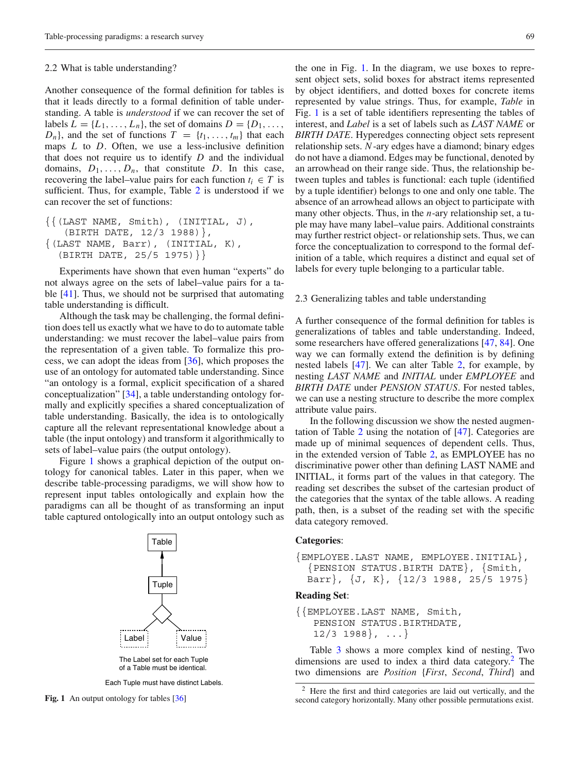#### 2.2 What is table understanding?

Another consequence of the formal definition for tables is that it leads directly to a formal definition of table understanding. A table is *understood* if we can recover the set of labels  $L = \{L_1, \ldots, L_n\}$ , the set of domains  $D = \{D_1, \ldots, D_n\}$  $D_n$ , and the set of functions  $T = \{t_1, \ldots, t_m\}$  that each maps *L* to *D*. Often, we use a less-inclusive definition that does not require us to identify *D* and the individual domains,  $D_1, \ldots, D_n$ , that constitute *D*. In this case, recovering the label–value pairs for each function  $t_i \in T$  is sufficient. Thus, for example, Table [2](#page-2-0) is understood if we can recover the set of functions:

```
\{\{\text{ (LAST NAME, Smith), (INITIAL, J),\}(BIRTH DATE, 12/3 1988)},
\{(LAST NAME, Barr), (INITIAL, K),\}(BIRTH\ DATE, 25/5\ 1975)
```
Experiments have shown that even human "experts" do not always agree on the sets of label–value pairs for a table [\[41\]](#page-19-6). Thus, we should not be surprised that automating table understanding is difficult.

Although the task may be challenging, the formal definition does tell us exactly what we have to do to automate table understanding: we must recover the label–value pairs from the representation of a given table. To formalize this process, we can adopt the ideas from [\[36\]](#page-18-3), which proposes the use of an ontology for automated table understanding. Since "an ontology is a formal, explicit specification of a shared conceptualization" [\[34\]](#page-18-4), a table understanding ontology formally and explicitly specifies a shared conceptualization of table understanding. Basically, the idea is to ontologically capture all the relevant representational knowledge about a table (the input ontology) and transform it algorithmically to sets of label–value pairs (the output ontology).

Figure [1](#page-3-0) shows a graphical depiction of the output ontology for canonical tables. Later in this paper, when we describe table-processing paradigms, we will show how to represent input tables ontologically and explain how the paradigms can all be thought of as transforming an input table captured ontologically into an output ontology such as



Each Tuple must have distinct Labels.

<span id="page-3-0"></span>**Fig. 1** An output ontology for tables [\[36\]](#page-18-3)

the one in Fig. [1.](#page-3-0) In the diagram, we use boxes to represent object sets, solid boxes for abstract items represented by object identifiers, and dotted boxes for concrete items represented by value strings. Thus, for example, *Table* in Fig. [1](#page-3-0) is a set of table identifiers representing the tables of interest, and *Label* is a set of labels such as *LAST NAME* or *BIRTH DATE*. Hyperedges connecting object sets represent relationship sets. *N*-ary edges have a diamond; binary edges do not have a diamond. Edges may be functional, denoted by an arrowhead on their range side. Thus, the relationship between tuples and tables is functional: each tuple (identified by a tuple identifier) belongs to one and only one table. The absence of an arrowhead allows an object to participate with many other objects. Thus, in the *n*-ary relationship set, a tuple may have many label–value pairs. Additional constraints may further restrict object- or relationship sets. Thus, we can force the conceptualization to correspond to the formal definition of a table, which requires a distinct and equal set of labels for every tuple belonging to a particular table.

## 2.3 Generalizing tables and table understanding

A further consequence of the formal definition for tables is generalizations of tables and table understanding. Indeed, some researchers have offered generalizations [\[47](#page-19-0), [84](#page-20-1)]. One way we can formally extend the definition is by defining nested labels [\[47\]](#page-19-0). We can alter Table [2,](#page-2-0) for example, by nesting *LAST NAME* and *INITIAL* under *EMPLOYEE* and *BIRTH DATE* under *PENSION STATUS*. For nested tables, we can use a nesting structure to describe the more complex attribute value pairs.

In the following discussion we show the nested augmentation of Table [2](#page-2-0) using the notation of [\[47\]](#page-19-0). Categories are made up of minimal sequences of dependent cells. Thus, in the extended version of Table [2,](#page-2-0) as EMPLOYEE has no discriminative power other than defining LAST NAME and INITIAL, it forms part of the values in that category. The reading set describes the subset of the cartesian product of the categories that the syntax of the table allows. A reading path, then, is a subset of the reading set with the specific data category removed.

# **Categories**:

```
{EMPLOYEE.LAST NAME, EMPLOYEE.INITIAL},
  {PENSION STATUS.BIRTH DATE}, {Smith,
 Barr}, {J, K}, {12/3 1988, 25/5 1975}
```
# **Reading Set**:

```
{{EMPLOYEE.LAST NAME, Smith,
  PENSION STATUS.BIRTHDATE,
  12/3 1988}, ...}
```
Table [3](#page-4-0) shows a more complex kind of nesting. Two dimensions are used to index a third data category.<sup>2</sup> The two dimensions are *Position* {*First*, *Second*, *Third*} and

<span id="page-3-1"></span><sup>2</sup> Here the first and third categories are laid out vertically, and the second category horizontally. Many other possible permutations exist.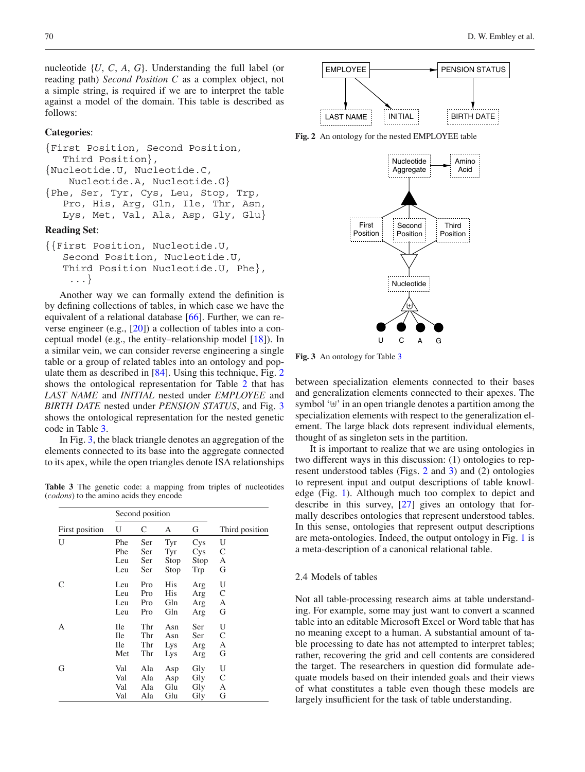nucleotide {*U*, *C*, *A*, *G*}. Understanding the full label (or reading path) *Second Position C* as a complex object, not a simple string, is required if we are to interpret the table against a model of the domain. This table is described as follows:

# **Categories**:

```
{First Position, Second Position,
   Third Position},
{Nucleotide.U, Nucleotide.C,
   Nucleotide.A, Nucleotide.G}
{Phe, Ser, Tyr, Cys, Leu, Stop, Trp,
   Pro, His, Arg, Gln, Ile, Thr, Asn,
   Lys, Met, Val, Ala, Asp, Gly, Glu}
```
# **Reading Set**:

```
{{First Position, Nucleotide.U,
   Second Position, Nucleotide.U,
   Third Position Nucleotide.U, Phe},
    ...}
```
Another way we can formally extend the definition is by defining collections of tables, in which case we have the equivalent of a relational database [\[66](#page-19-5)]. Further, we can reverse engineer (e.g., [\[20](#page-18-5)]) a collection of tables into a conceptual model (e.g., the entity–relationship model [\[18](#page-18-6)]). In a similar vein, we can consider reverse engineering a single table or a group of related tables into an ontology and populate them as described in [\[84\]](#page-20-1). Using this technique, Fig. [2](#page-4-1) shows the ontological representation for Table [2](#page-2-0) that has *LAST NAME* and *INITIAL* nested under *EMPLOYEE* and *BIRTH DATE* nested under *PENSION STATUS*, and Fig. [3](#page-4-2) shows the ontological representation for the nested genetic code in Table [3.](#page-4-0)

In Fig. [3,](#page-4-2) the black triangle denotes an aggregation of the elements connected to its base into the aggregate connected to its apex, while the open triangles denote ISA relationships

<span id="page-4-0"></span>**Table 3** The genetic code: a mapping from triples of nucleotides (*codons*) to the amino acids they encode

|                |            | Second position |            |      |                |
|----------------|------------|-----------------|------------|------|----------------|
| First position | U          | С               | А          | G    | Third position |
| U              | Phe        | Ser             | Tyr        | Cys  | U              |
|                | Phe        | Ser             | Tyr        | Cys  | C              |
|                | Leu        | Ser             | Stop       | Stop | A              |
|                | Leu        | Ser             | Stop       | Trp  | G              |
|                | Leu        | Pro             | <b>His</b> | Arg  | U              |
|                | Leu        | Pro             | <b>His</b> | Arg  | C              |
|                | Leu        | Pro             | Gln        | Arg  | А              |
|                | Leu        | Pro             | Gln        | Arg  | G              |
| А              | <b>Ile</b> | Thr             | Asn        | Ser  | U              |
|                | Ile        | Thr             | Asn        | Ser  | C              |
|                | <b>Ile</b> | Thr             | Lys        | Arg  | A              |
|                | Met        | Thr             | Lys        | Arg  | G              |
| G              | Val        | Ala             | Asp        | Gly  | U              |
|                | Val        | Ala             | Asp        | Gly  | C              |
|                | Val        | Ala             | Glu        | Gly  | A              |
|                | Val        | Ala             | Glu        | Gly  | G              |



<span id="page-4-1"></span>**Fig. 2** An ontology for the nested EMPLOYEE table



<span id="page-4-2"></span>**Fig. 3** An ontology for Table [3](#page-4-0)

between specialization elements connected to their bases and generalization elements connected to their apexes. The symbol  $\forall$  in an open triangle denotes a partition among the specialization elements with respect to the generalization element. The large black dots represent individual elements, thought of as singleton sets in the partition.

It is important to realize that we are using ontologies in two different ways in this discussion: (1) ontologies to represent understood tables (Figs. [2](#page-4-1) and [3\)](#page-4-2) and (2) ontologies to represent input and output descriptions of table knowledge (Fig. [1\)](#page-3-0). Although much too complex to depict and describe in this survey, [\[27\]](#page-18-7) gives an ontology that formally describes ontologies that represent understood tables. In this sense, ontologies that represent output descriptions are meta-ontologies. Indeed, the output ontology in Fig. [1](#page-3-0) is a meta-description of a canonical relational table.

# 2.4 Models of tables

Not all table-processing research aims at table understanding. For example, some may just want to convert a scanned table into an editable Microsoft Excel or Word table that has no meaning except to a human. A substantial amount of table processing to date has not attempted to interpret tables; rather, recovering the grid and cell contents are considered the target. The researchers in question did formulate adequate models based on their intended goals and their views of what constitutes a table even though these models are largely insufficient for the task of table understanding.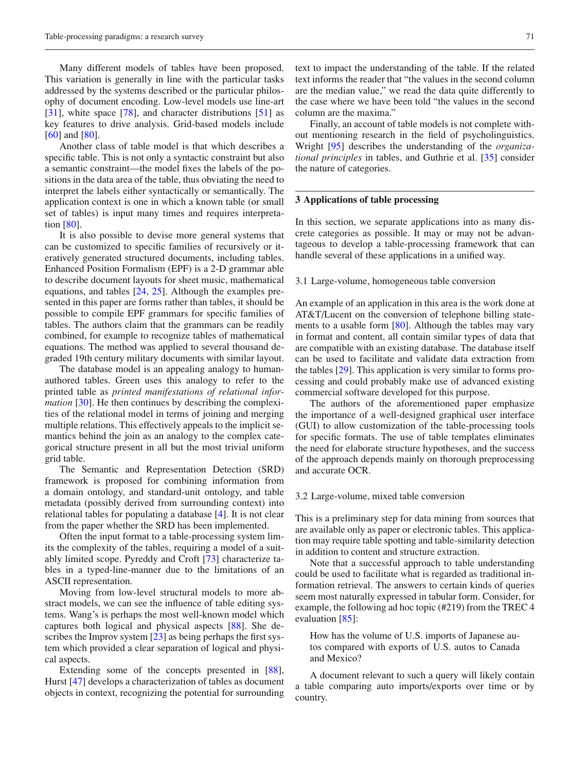Many different models of tables have been proposed. This variation is generally in line with the particular tasks addressed by the systems described or the particular philosophy of document encoding. Low-level models use line-art [\[31](#page-18-8)], white space [\[78\]](#page-19-7), and character distributions [\[51](#page-19-8)] as key features to drive analysis. Grid-based models include [\[60](#page-19-9)] and [\[80\]](#page-20-2).

Another class of table model is that which describes a specific table. This is not only a syntactic constraint but also a semantic constraint—the model fixes the labels of the positions in the data area of the table, thus obviating the need to interpret the labels either syntactically or semantically. The application context is one in which a known table (or small set of tables) is input many times and requires interpretation [\[80\]](#page-20-2).

It is also possible to devise more general systems that can be customized to specific families of recursively or iteratively generated structured documents, including tables. Enhanced Position Formalism (EPF) is a 2-D grammar able to describe document layouts for sheet music, mathematical equations, and tables [\[24,](#page-18-9) [25\]](#page-18-10). Although the examples presented in this paper are forms rather than tables, it should be possible to compile EPF grammars for specific families of tables. The authors claim that the grammars can be readily combined, for example to recognize tables of mathematical equations. The method was applied to several thousand degraded 19th century military documents with similar layout.

The database model is an appealing analogy to humanauthored tables. Green uses this analogy to refer to the printed table as *printed manifestations of relational information* [\[30](#page-18-11)]. He then continues by describing the complexities of the relational model in terms of joining and merging multiple relations. This effectively appeals to the implicit semantics behind the join as an analogy to the complex categorical structure present in all but the most trivial uniform grid table.

The Semantic and Representation Detection (SRD) framework is proposed for combining information from a domain ontology, and standard-unit ontology, and table metadata (possibly derived from surrounding context) into relational tables for populating a database [\[4\]](#page-18-12). It is not clear from the paper whether the SRD has been implemented.

Often the input format to a table-processing system limits the complexity of the tables, requiring a model of a suitably limited scope. Pyreddy and Croft [\[73\]](#page-19-10) characterize tables in a typed-line-manner due to the limitations of an ASCII representation.

Moving from low-level structural models to more abstract models, we can see the influence of table editing systems. Wang's is perhaps the most well-known model which captures both logical and physical aspects [\[88](#page-20-3)]. She de-scribes the Improv system [\[23](#page-18-13)] as being perhaps the first system which provided a clear separation of logical and physical aspects.

Extending some of the concepts presented in [\[88](#page-20-3)], Hurst [\[47\]](#page-19-0) develops a characterization of tables as document objects in context, recognizing the potential for surrounding text to impact the understanding of the table. If the related text informs the reader that "the values in the second column are the median value," we read the data quite differently to the case where we have been told "the values in the second column are the maxima."

Finally, an account of table models is not complete without mentioning research in the field of psycholinguistics. Wright [\[95\]](#page-20-4) describes the understanding of the *organizational principles* in tables, and Guthrie et al. [\[35\]](#page-18-14) consider the nature of categories.

## **3 Applications of table processing**

In this section, we separate applications into as many discrete categories as possible. It may or may not be advantageous to develop a table-processing framework that can handle several of these applications in a unified way.

3.1 Large-volume, homogeneous table conversion

An example of an application in this area is the work done at AT&T/Lucent on the conversion of telephone billing state-ments to a usable form [\[80](#page-20-2)]. Although the tables may vary in format and content, all contain similar types of data that are compatible with an existing database. The database itself can be used to facilitate and validate data extraction from the tables [\[29\]](#page-18-15). This application is very similar to forms processing and could probably make use of advanced existing commercial software developed for this purpose.

The authors of the aforementioned paper emphasize the importance of a well-designed graphical user interface (GUI) to allow customization of the table-processing tools for specific formats. The use of table templates eliminates the need for elaborate structure hypotheses, and the success of the approach depends mainly on thorough preprocessing and accurate OCR.

## 3.2 Large-volume, mixed table conversion

This is a preliminary step for data mining from sources that are available only as paper or electronic tables. This application may require table spotting and table-similarity detection in addition to content and structure extraction.

Note that a successful approach to table understanding could be used to facilitate what is regarded as traditional information retrieval. The answers to certain kinds of queries seem most naturally expressed in tabular form. Consider, for example, the following ad hoc topic (#219) from the TREC 4 evaluation [\[85](#page-20-5)]:

How has the volume of U.S. imports of Japanese autos compared with exports of U.S. autos to Canada and Mexico?

A document relevant to such a query will likely contain a table comparing auto imports/exports over time or by country.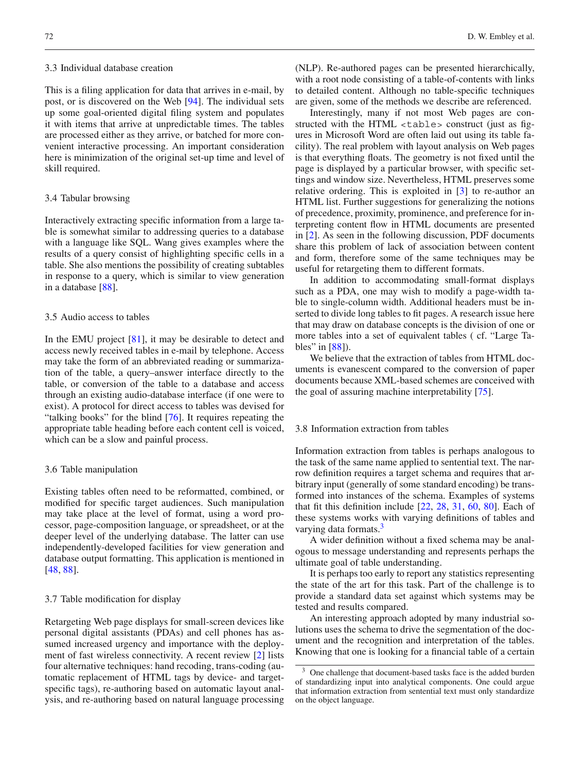#### 3.3 Individual database creation

This is a filing application for data that arrives in e-mail, by post, or is discovered on the Web [\[94](#page-20-6)]. The individual sets up some goal-oriented digital filing system and populates it with items that arrive at unpredictable times. The tables are processed either as they arrive, or batched for more convenient interactive processing. An important consideration here is minimization of the original set-up time and level of skill required.

## 3.4 Tabular browsing

Interactively extracting specific information from a large table is somewhat similar to addressing queries to a database with a language like SQL. Wang gives examples where the results of a query consist of highlighting specific cells in a table. She also mentions the possibility of creating subtables in response to a query, which is similar to view generation in a database [\[88](#page-20-3)].

# 3.5 Audio access to tables

In the EMU project [\[81\]](#page-20-7), it may be desirable to detect and access newly received tables in e-mail by telephone. Access may take the form of an abbreviated reading or summarization of the table, a query–answer interface directly to the table, or conversion of the table to a database and access through an existing audio-database interface (if one were to exist). A protocol for direct access to tables was devised for "talking books" for the blind [\[76](#page-19-11)]. It requires repeating the appropriate table heading before each content cell is voiced, which can be a slow and painful process.

## 3.6 Table manipulation

Existing tables often need to be reformatted, combined, or modified for specific target audiences. Such manipulation may take place at the level of format, using a word processor, page-composition language, or spreadsheet, or at the deeper level of the underlying database. The latter can use independently-developed facilities for view generation and database output formatting. This application is mentioned in [\[48](#page-19-12), [88](#page-20-3)].

# 3.7 Table modification for display

Retargeting Web page displays for small-screen devices like personal digital assistants (PDAs) and cell phones has assumed increased urgency and importance with the deployment of fast wireless connectivity. A recent review [\[2](#page-18-16)] lists four alternative techniques: hand recoding, trans-coding (automatic replacement of HTML tags by device- and targetspecific tags), re-authoring based on automatic layout analysis, and re-authoring based on natural language processing (NLP). Re-authored pages can be presented hierarchically, with a root node consisting of a table-of-contents with links to detailed content. Although no table-specific techniques are given, some of the methods we describe are referenced.

Interestingly, many if not most Web pages are constructed with the HTML <table> construct (just as figures in Microsoft Word are often laid out using its table facility). The real problem with layout analysis on Web pages is that everything floats. The geometry is not fixed until the page is displayed by a particular browser, with specific settings and window size. Nevertheless, HTML preserves some relative ordering. This is exploited in [\[3\]](#page-18-17) to re-author an HTML list. Further suggestions for generalizing the notions of precedence, proximity, prominence, and preference for interpreting content flow in HTML documents are presented in [\[2](#page-18-16)]. As seen in the following discussion, PDF documents share this problem of lack of association between content and form, therefore some of the same techniques may be useful for retargeting them to different formats.

In addition to accommodating small-format displays such as a PDA, one may wish to modify a page-width table to single-column width. Additional headers must be inserted to divide long tables to fit pages. A research issue here that may draw on database concepts is the division of one or more tables into a set of equivalent tables ( cf. "Large Tables" in  $[88]$ ).

We believe that the extraction of tables from HTML documents is evanescent compared to the conversion of paper documents because XML-based schemes are conceived with the goal of assuring machine interpretability [\[75](#page-19-13)].

# 3.8 Information extraction from tables

Information extraction from tables is perhaps analogous to the task of the same name applied to sentential text. The narrow definition requires a target schema and requires that arbitrary input (generally of some standard encoding) be transformed into instances of the schema. Examples of systems that fit this definition include [\[22](#page-18-18), [28](#page-18-1), [31](#page-18-8), [60](#page-19-9), [80](#page-20-2)]. Each of these systems works with varying definitions of tables and varying data formats.<sup>[3](#page-6-0)</sup>

A wider definition without a fixed schema may be analogous to message understanding and represents perhaps the ultimate goal of table understanding.

It is perhaps too early to report any statistics representing the state of the art for this task. Part of the challenge is to provide a standard data set against which systems may be tested and results compared.

An interesting approach adopted by many industrial solutions uses the schema to drive the segmentation of the document and the recognition and interpretation of the tables. Knowing that one is looking for a financial table of a certain

<span id="page-6-0"></span><sup>&</sup>lt;sup>3</sup> One challenge that document-based tasks face is the added burden of standardizing input into analytical components. One could argue that information extraction from sentential text must only standardize on the object language.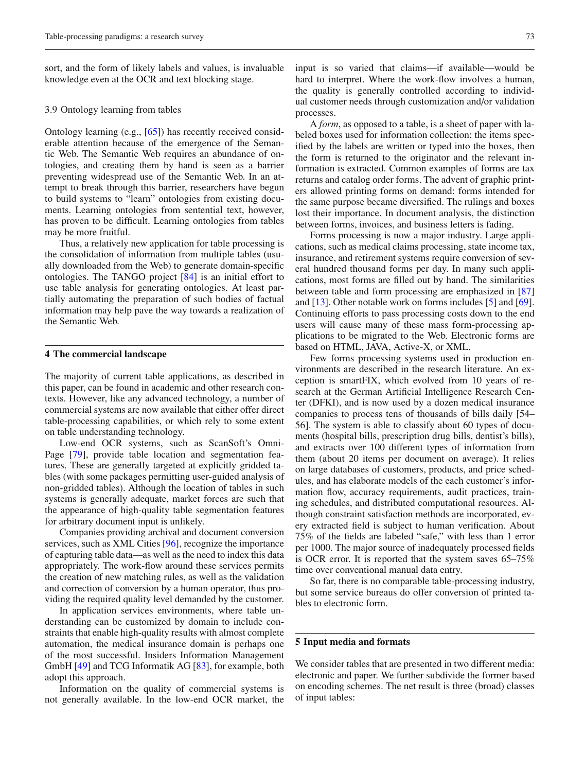sort, and the form of likely labels and values, is invaluable knowledge even at the OCR and text blocking stage.

## 3.9 Ontology learning from tables

Ontology learning (e.g., [\[65](#page-19-14)]) has recently received considerable attention because of the emergence of the Semantic Web. The Semantic Web requires an abundance of ontologies, and creating them by hand is seen as a barrier preventing widespread use of the Semantic Web. In an attempt to break through this barrier, researchers have begun to build systems to "learn" ontologies from existing documents. Learning ontologies from sentential text, however, has proven to be difficult. Learning ontologies from tables may be more fruitful.

Thus, a relatively new application for table processing is the consolidation of information from multiple tables (usually downloaded from the Web) to generate domain-specific ontologies. The TANGO project [\[84](#page-20-1)] is an initial effort to use table analysis for generating ontologies. At least partially automating the preparation of such bodies of factual information may help pave the way towards a realization of the Semantic Web.

## **4 The commercial landscape**

The majority of current table applications, as described in this paper, can be found in academic and other research contexts. However, like any advanced technology, a number of commercial systems are now available that either offer direct table-processing capabilities, or which rely to some extent on table understanding technology.

Low-end OCR systems, such as ScanSoft's Omni-Page [\[79\]](#page-19-15), provide table location and segmentation features. These are generally targeted at explicitly gridded tables (with some packages permitting user-guided analysis of non-gridded tables). Although the location of tables in such systems is generally adequate, market forces are such that the appearance of high-quality table segmentation features for arbitrary document input is unlikely.

Companies providing archival and document conversion services, such as XML Cities [\[96\]](#page-20-8), recognize the importance of capturing table data—as well as the need to index this data appropriately. The work-flow around these services permits the creation of new matching rules, as well as the validation and correction of conversion by a human operator, thus providing the required quality level demanded by the customer.

In application services environments, where table understanding can be customized by domain to include constraints that enable high-quality results with almost complete automation, the medical insurance domain is perhaps one of the most successful. Insiders Information Management GmbH [\[49](#page-19-16)] and TCG Informatik AG [\[83\]](#page-20-9), for example, both adopt this approach.

Information on the quality of commercial systems is not generally available. In the low-end OCR market, the input is so varied that claims—if available—would be hard to interpret. Where the work-flow involves a human, the quality is generally controlled according to individual customer needs through customization and/or validation processes.

A *form*, as opposed to a table, is a sheet of paper with labeled boxes used for information collection: the items specified by the labels are written or typed into the boxes, then the form is returned to the originator and the relevant information is extracted. Common examples of forms are tax returns and catalog order forms. The advent of graphic printers allowed printing forms on demand: forms intended for the same purpose became diversified. The rulings and boxes lost their importance. In document analysis, the distinction between forms, invoices, and business letters is fading.

Forms processing is now a major industry. Large applications, such as medical claims processing, state income tax, insurance, and retirement systems require conversion of several hundred thousand forms per day. In many such applications, most forms are filled out by hand. The similarities between table and form processing are emphasized in [\[87](#page-20-10)] and [\[13\]](#page-18-19). Other notable work on forms includes [\[5\]](#page-18-20) and [\[69\]](#page-19-17). Continuing efforts to pass processing costs down to the end users will cause many of these mass form-processing applications to be migrated to the Web. Electronic forms are based on HTML, JAVA, Active-X, or XML.

Few forms processing systems used in production environments are described in the research literature. An exception is smartFIX, which evolved from 10 years of research at the German Artificial Intelligence Research Center (DFKI), and is now used by a dozen medical insurance companies to process tens of thousands of bills daily [54– 56]. The system is able to classify about 60 types of documents (hospital bills, prescription drug bills, dentist's bills), and extracts over 100 different types of information from them (about 20 items per document on average). It relies on large databases of customers, products, and price schedules, and has elaborate models of the each customer's information flow, accuracy requirements, audit practices, training schedules, and distributed computational resources. Although constraint satisfaction methods are incorporated, every extracted field is subject to human verification. About 75% of the fields are labeled "safe," with less than 1 error per 1000. The major source of inadequately processed fields is OCR error. It is reported that the system saves 65–75% time over conventional manual data entry.

So far, there is no comparable table-processing industry, but some service bureaus do offer conversion of printed tables to electronic form.

## **5 Input media and formats**

We consider tables that are presented in two different media: electronic and paper. We further subdivide the former based on encoding schemes. The net result is three (broad) classes of input tables: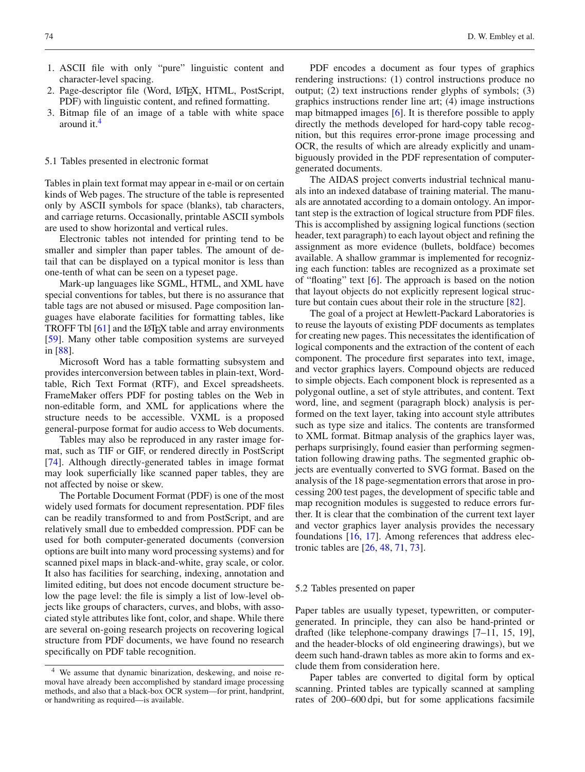- 1. ASCII file with only "pure" linguistic content and character-level spacing.
- 2. Page-descriptor file (Word, LATEX, HTML, PostScript, PDF) with linguistic content, and refined formatting.
- 3. Bitmap file of an image of a table with white space around it[.4](#page-8-0)

## 5.1 Tables presented in electronic format

Tables in plain text format may appear in e-mail or on certain kinds of Web pages. The structure of the table is represented only by ASCII symbols for space (blanks), tab characters, and carriage returns. Occasionally, printable ASCII symbols are used to show horizontal and vertical rules.

Electronic tables not intended for printing tend to be smaller and simpler than paper tables. The amount of detail that can be displayed on a typical monitor is less than one-tenth of what can be seen on a typeset page.

Mark-up languages like SGML, HTML, and XML have special conventions for tables, but there is no assurance that table tags are not abused or misused. Page composition languages have elaborate facilities for formatting tables, like TROFF Tbl  $[61]$  $[61]$  and the LAT<sub>EX</sub> table and array environments [\[59](#page-19-19)]. Many other table composition systems are surveyed in [\[88\]](#page-20-3).

Microsoft Word has a table formatting subsystem and provides interconversion between tables in plain-text, Wordtable, Rich Text Format (RTF), and Excel spreadsheets. FrameMaker offers PDF for posting tables on the Web in non-editable form, and XML for applications where the structure needs to be accessible. VXML is a proposed general-purpose format for audio access to Web documents.

Tables may also be reproduced in any raster image format, such as TIF or GIF, or rendered directly in PostScript [\[74](#page-19-20)]. Although directly-generated tables in image format may look superficially like scanned paper tables, they are not affected by noise or skew.

The Portable Document Format (PDF) is one of the most widely used formats for document representation. PDF files can be readily transformed to and from PostScript, and are relatively small due to embedded compression. PDF can be used for both computer-generated documents (conversion options are built into many word processing systems) and for scanned pixel maps in black-and-white, gray scale, or color. It also has facilities for searching, indexing, annotation and limited editing, but does not encode document structure below the page level: the file is simply a list of low-level objects like groups of characters, curves, and blobs, with associated style attributes like font, color, and shape. While there are several on-going research projects on recovering logical structure from PDF documents, we have found no research specifically on PDF table recognition.

PDF encodes a document as four types of graphics rendering instructions: (1) control instructions produce no output; (2) text instructions render glyphs of symbols; (3) graphics instructions render line art; (4) image instructions map bitmapped images [\[6\]](#page-18-21). It is therefore possible to apply directly the methods developed for hard-copy table recognition, but this requires error-prone image processing and OCR, the results of which are already explicitly and unambiguously provided in the PDF representation of computergenerated documents.

The AIDAS project converts industrial technical manuals into an indexed database of training material. The manuals are annotated according to a domain ontology. An important step is the extraction of logical structure from PDF files. This is accomplished by assigning logical functions (section header, text paragraph) to each layout object and refining the assignment as more evidence (bullets, boldface) becomes available. A shallow grammar is implemented for recognizing each function: tables are recognized as a proximate set of "floating" text [\[6\]](#page-18-21). The approach is based on the notion that layout objects do not explicitly represent logical structure but contain cues about their role in the structure [\[82\]](#page-20-11).

The goal of a project at Hewlett-Packard Laboratories is to reuse the layouts of existing PDF documents as templates for creating new pages. This necessitates the identification of logical components and the extraction of the content of each component. The procedure first separates into text, image, and vector graphics layers. Compound objects are reduced to simple objects. Each component block is represented as a polygonal outline, a set of style attributes, and content. Text word, line, and segment (paragraph block) analysis is performed on the text layer, taking into account style attributes such as type size and italics. The contents are transformed to XML format. Bitmap analysis of the graphics layer was, perhaps surprisingly, found easier than performing segmentation following drawing paths. The segmented graphic objects are eventually converted to SVG format. Based on the analysis of the 18 page-segmentation errors that arose in processing 200 test pages, the development of specific table and map recognition modules is suggested to reduce errors further. It is clear that the combination of the current text layer and vector graphics layer analysis provides the necessary foundations [\[16,](#page-18-22) [17\]](#page-18-23). Among references that address electronic tables are [\[26](#page-18-24), [48,](#page-19-12) [71,](#page-19-4) [73](#page-19-10)].

### 5.2 Tables presented on paper

Paper tables are usually typeset, typewritten, or computergenerated. In principle, they can also be hand-printed or drafted (like telephone-company drawings [7–11, 15, 19], and the header-blocks of old engineering drawings), but we deem such hand-drawn tables as more akin to forms and exclude them from consideration here.

Paper tables are converted to digital form by optical scanning. Printed tables are typically scanned at sampling rates of 200–600 dpi, but for some applications facsimile

<span id="page-8-0"></span><sup>4</sup> We assume that dynamic binarization, deskewing, and noise removal have already been accomplished by standard image processing methods, and also that a black-box OCR system—for print, handprint, or handwriting as required—is available.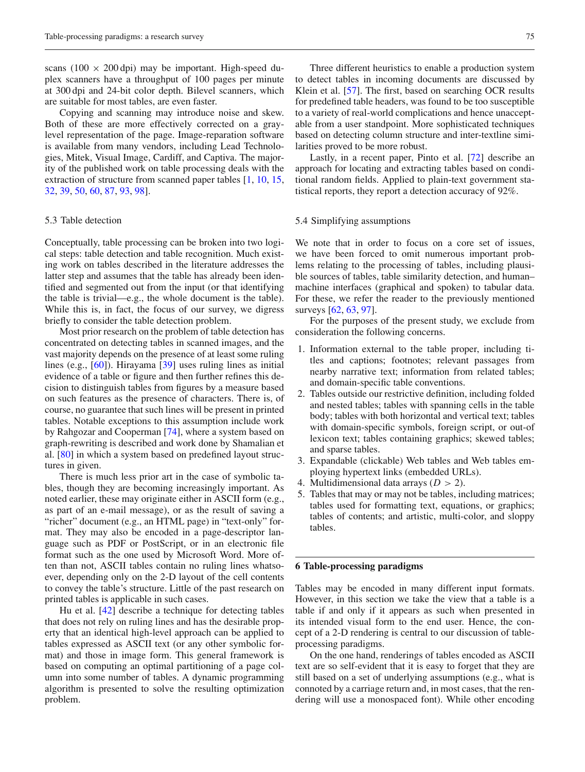scans (100  $\times$  200 dpi) may be important. High-speed duplex scanners have a throughput of 100 pages per minute at 300 dpi and 24-bit color depth. Bilevel scanners, which are suitable for most tables, are even faster.

Copying and scanning may introduce noise and skew. Both of these are more effectively corrected on a graylevel representation of the page. Image-reparation software is available from many vendors, including Lead Technologies, Mitek, Visual Image, Cardiff, and Captiva. The majority of the published work on table processing deals with the extraction of structure from scanned paper tables [\[1,](#page-17-0) [10](#page-18-25), [15](#page-18-26), [32,](#page-18-27) [39](#page-18-28), [50](#page-19-21), [60,](#page-19-9) [87,](#page-20-10) [93,](#page-20-12) [98](#page-20-13)].

## 5.3 Table detection

Conceptually, table processing can be broken into two logical steps: table detection and table recognition. Much existing work on tables described in the literature addresses the latter step and assumes that the table has already been identified and segmented out from the input (or that identifying the table is trivial—e.g., the whole document is the table). While this is, in fact, the focus of our survey, we digress briefly to consider the table detection problem.

Most prior research on the problem of table detection has concentrated on detecting tables in scanned images, and the vast majority depends on the presence of at least some ruling lines (e.g., [\[60\]](#page-19-9)). Hirayama [\[39](#page-18-28)] uses ruling lines as initial evidence of a table or figure and then further refines this decision to distinguish tables from figures by a measure based on such features as the presence of characters. There is, of course, no guarantee that such lines will be present in printed tables. Notable exceptions to this assumption include work by Rahgozar and Cooperman [\[74](#page-19-20)], where a system based on graph-rewriting is described and work done by Shamalian et al. [\[80\]](#page-20-2) in which a system based on predefined layout structures in given.

There is much less prior art in the case of symbolic tables, though they are becoming increasingly important. As noted earlier, these may originate either in ASCII form (e.g., as part of an e-mail message), or as the result of saving a "richer" document (e.g., an HTML page) in "text-only" format. They may also be encoded in a page-descriptor language such as PDF or PostScript, or in an electronic file format such as the one used by Microsoft Word. More often than not, ASCII tables contain no ruling lines whatsoever, depending only on the 2-D layout of the cell contents to convey the table's structure. Little of the past research on printed tables is applicable in such cases.

Hu et al. [\[42](#page-19-22)] describe a technique for detecting tables that does not rely on ruling lines and has the desirable property that an identical high-level approach can be applied to tables expressed as ASCII text (or any other symbolic format) and those in image form. This general framework is based on computing an optimal partitioning of a page column into some number of tables. A dynamic programming algorithm is presented to solve the resulting optimization problem.

Three different heuristics to enable a production system to detect tables in incoming documents are discussed by Klein et al. [\[57\]](#page-19-23). The first, based on searching OCR results for predefined table headers, was found to be too susceptible to a variety of real-world complications and hence unacceptable from a user standpoint. More sophisticated techniques based on detecting column structure and inter-textline similarities proved to be more robust.

Lastly, in a recent paper, Pinto et al. [\[72\]](#page-19-24) describe an approach for locating and extracting tables based on conditional random fields. Applied to plain-text government statistical reports, they report a detection accuracy of 92%.

# 5.4 Simplifying assumptions

We note that in order to focus on a core set of issues, we have been forced to omit numerous important problems relating to the processing of tables, including plausible sources of tables, table similarity detection, and human– machine interfaces (graphical and spoken) to tabular data. For these, we refer the reader to the previously mentioned surveys [\[62](#page-19-2), [63](#page-19-3), [97\]](#page-20-0).

For the purposes of the present study, we exclude from consideration the following concerns.

- 1. Information external to the table proper, including titles and captions; footnotes; relevant passages from nearby narrative text; information from related tables; and domain-specific table conventions.
- 2. Tables outside our restrictive definition, including folded and nested tables; tables with spanning cells in the table body; tables with both horizontal and vertical text; tables with domain-specific symbols, foreign script, or out-of lexicon text; tables containing graphics; skewed tables; and sparse tables.
- 3. Expandable (clickable) Web tables and Web tables employing hypertext links (embedded URLs).
- 4. Multidimensional data arrays  $(D > 2)$ .
- 5. Tables that may or may not be tables, including matrices; tables used for formatting text, equations, or graphics; tables of contents; and artistic, multi-color, and sloppy tables.

# **6 Table-processing paradigms**

Tables may be encoded in many different input formats. However, in this section we take the view that a table is a table if and only if it appears as such when presented in its intended visual form to the end user. Hence, the concept of a 2-D rendering is central to our discussion of tableprocessing paradigms.

On the one hand, renderings of tables encoded as ASCII text are so self-evident that it is easy to forget that they are still based on a set of underlying assumptions (e.g., what is connoted by a carriage return and, in most cases, that the rendering will use a monospaced font). While other encoding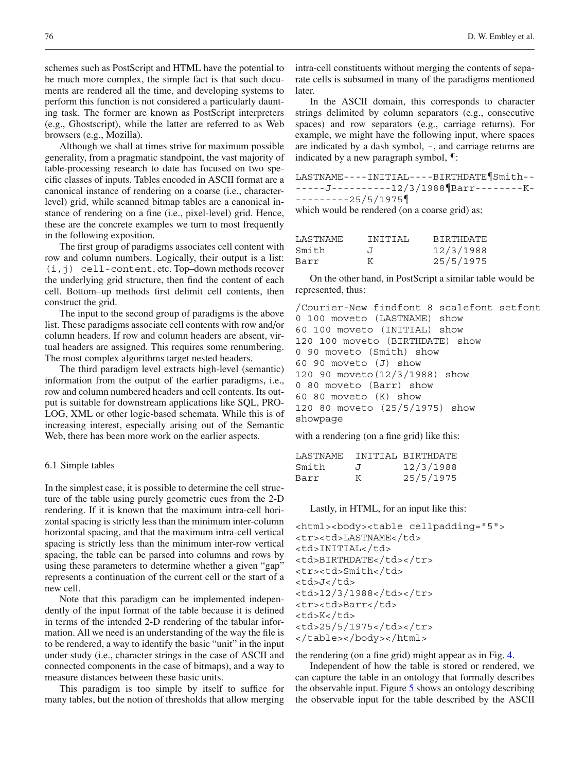schemes such as PostScript and HTML have the potential to be much more complex, the simple fact is that such documents are rendered all the time, and developing systems to perform this function is not considered a particularly daunting task. The former are known as PostScript interpreters (e.g., Ghostscript), while the latter are referred to as Web browsers (e.g., Mozilla).

Although we shall at times strive for maximum possible generality, from a pragmatic standpoint, the vast majority of table-processing research to date has focused on two specific classes of inputs. Tables encoded in ASCII format are a canonical instance of rendering on a coarse (i.e., characterlevel) grid, while scanned bitmap tables are a canonical instance of rendering on a fine (i.e., pixel-level) grid. Hence, these are the concrete examples we turn to most frequently in the following exposition.

The first group of paradigms associates cell content with row and column numbers. Logically, their output is a list: (i,j) cell-content, etc. Top–down methods recover the underlying grid structure, then find the content of each cell. Bottom–up methods first delimit cell contents, then construct the grid.

The input to the second group of paradigms is the above list. These paradigms associate cell contents with row and/or column headers. If row and column headers are absent, virtual headers are assigned. This requires some renumbering. The most complex algorithms target nested headers.

The third paradigm level extracts high-level (semantic) information from the output of the earlier paradigms, i.e., row and column numbered headers and cell contents. Its output is suitable for downstream applications like SQL, PRO-LOG, XML or other logic-based schemata. While this is of increasing interest, especially arising out of the Semantic Web, there has been more work on the earlier aspects.

## 6.1 Simple tables

In the simplest case, it is possible to determine the cell structure of the table using purely geometric cues from the 2-D rendering. If it is known that the maximum intra-cell horizontal spacing is strictly less than the minimum inter-column horizontal spacing, and that the maximum intra-cell vertical spacing is strictly less than the minimum inter-row vertical spacing, the table can be parsed into columns and rows by using these parameters to determine whether a given "gap" represents a continuation of the current cell or the start of a new cell.

Note that this paradigm can be implemented independently of the input format of the table because it is defined in terms of the intended 2-D rendering of the tabular information. All we need is an understanding of the way the file is to be rendered, a way to identify the basic "unit" in the input under study (i.e., character strings in the case of ASCII and connected components in the case of bitmaps), and a way to measure distances between these basic units.

This paradigm is too simple by itself to suffice for many tables, but the notion of thresholds that allow merging intra-cell constituents without merging the contents of separate cells is subsumed in many of the paradigms mentioned later.

In the ASCII domain, this corresponds to character strings delimited by column separators (e.g., consecutive spaces) and row separators (e.g., carriage returns). For example, we might have the following input, where spaces are indicated by a dash symbol, -, and carriage returns are indicated by a new paragraph symbol, ¶:

LASTNAME----INITIAL----BIRTHDATE¶Smith-- -----J----------12/3/1988¶Barr--------K- ---------25/5/1975¶

which would be rendered (on a coarse grid) as:

| LASTNAME | TNTTTAL   | BIRTHDATE |
|----------|-----------|-----------|
| Smith    | $\cdot$ T | 12/3/1988 |
| Barr     | K         | 25/5/1975 |

On the other hand, in PostScript a similar table would be represented, thus:

/Courier-New findfont 8 scalefont setfont 0 100 moveto (LASTNAME) show 60 100 moveto (INITIAL) show 120 100 moveto (BIRTHDATE) show 0 90 moveto (Smith) show 60 90 moveto (J) show 120 90 moveto(12/3/1988) show 0 80 moveto (Barr) show 60 80 moveto (K) show 120 80 moveto (25/5/1975) show showpage

with a rendering (on a fine grid) like this:

| LASTNAME |    | INITIAL BIRTHDATE |
|----------|----|-------------------|
| Smith    | ٠T | 12/3/1988         |
| Barr     | K  | 25/5/1975         |

Lastly, in HTML, for an input like this:

```
<html><body><table cellpadding="5">
<tr><td>LASTNAME</td>
<td>INITIAL</td>
<td>BIRTHDATE</td></tr>
<tr><td>Smith</td>
<td>J</td>
<td>12/3/1988</td></tr>
<tr><td>Barr</td>
<td>K</td>
<td>25/5/1975</td></tr>
</table></body></html>
```
the rendering (on a fine grid) might appear as in Fig. [4.](#page-11-0)

Independent of how the table is stored or rendered, we can capture the table in an ontology that formally describes the observable input. Figure [5](#page-11-1) shows an ontology describing the observable input for the table described by the ASCII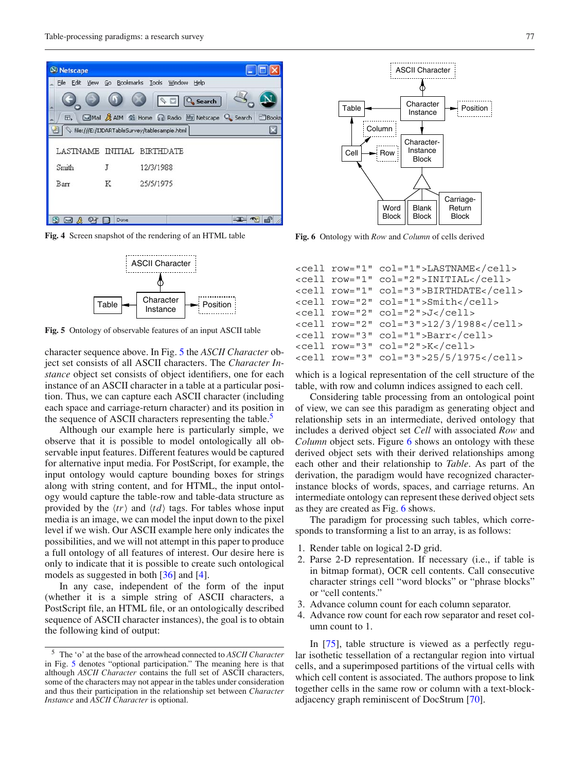

**Fig. 4** Screen snapshot of the rendering of an HTML table

<span id="page-11-0"></span>

<span id="page-11-1"></span>**Fig. 5** Ontology of observable features of an input ASCII table

character sequence above. In Fig. [5](#page-11-1) the *ASCII Character* object set consists of all ASCII characters. The *Character Instance* object set consists of object identifiers, one for each instance of an ASCII character in a table at a particular position. Thus, we can capture each ASCII character (including each space and carriage-return character) and its position in the sequence of ASCII characters representing the table.<sup>[5](#page-11-2)</sup>

Although our example here is particularly simple, we observe that it is possible to model ontologically all observable input features. Different features would be captured for alternative input media. For PostScript, for example, the input ontology would capture bounding boxes for strings along with string content, and for HTML, the input ontology would capture the table-row and table-data structure as provided by the  $\langle tr \rangle$  and  $\langle td \rangle$  tags. For tables whose input media is an image, we can model the input down to the pixel level if we wish. Our ASCII example here only indicates the possibilities, and we will not attempt in this paper to produce a full ontology of all features of interest. Our desire here is only to indicate that it is possible to create such ontological models as suggested in both [\[36\]](#page-18-3) and [\[4](#page-18-12)].

In any case, independent of the form of the input (whether it is a simple string of ASCII characters, a PostScript file, an HTML file, or an ontologically described sequence of ASCII character instances), the goal is to obtain the following kind of output:



<span id="page-11-3"></span>**Fig. 6** Ontology with *Row* and *Column* of cells derived

```
<cell row="1" col="1">LASTNAME</cell>
<cell row="1" col="2">INITIAL</cell>
<cell row="1" col="3">BIRTHDATE</cell>
<cell row="2" col="1">Smith</cell>
<cell row="2" col="2">J</cell>
<cell row="2" col="3">12/3/1988</cell>
<cell row="3" col="1">Barr</cell>
<cell row="3" col="2">K</cell>
<cell row="3" col="3">25/5/1975</cell>
```
which is a logical representation of the cell structure of the table, with row and column indices assigned to each cell.

Considering table processing from an ontological point of view, we can see this paradigm as generating object and relationship sets in an intermediate, derived ontology that includes a derived object set *Cell* with associated *Row* and *Column* object sets. Figure [6](#page-11-3) shows an ontology with these derived object sets with their derived relationships among each other and their relationship to *Table*. As part of the derivation, the paradigm would have recognized characterinstance blocks of words, spaces, and carriage returns. An intermediate ontology can represent these derived object sets as they are created as Fig. [6](#page-11-3) shows.

The paradigm for processing such tables, which corresponds to transforming a list to an array, is as follows:

- 1. Render table on logical 2-D grid.
- 2. Parse 2-D representation. If necessary (i.e., if table is in bitmap format), OCR cell contents. Call consecutive character strings cell "word blocks" or "phrase blocks" or "cell contents."
- 3. Advance column count for each column separator.
- 4. Advance row count for each row separator and reset column count to 1.

In [\[75\]](#page-19-13), table structure is viewed as a perfectly regular isothetic tessellation of a rectangular region into virtual cells, and a superimposed partitions of the virtual cells with which cell content is associated. The authors propose to link together cells in the same row or column with a text-blockadjacency graph reminiscent of DocStrum [\[70\]](#page-19-25).

<span id="page-11-2"></span><sup>5</sup> The 'o' at the base of the arrowhead connected to *ASCII Character* in Fig. [5](#page-11-1) denotes "optional participation." The meaning here is that although *ASCII Character* contains the full set of ASCII characters, some of the characters may not appear in the tables under consideration and thus their participation in the relationship set between *Character Instance* and *ASCII Character* is optional.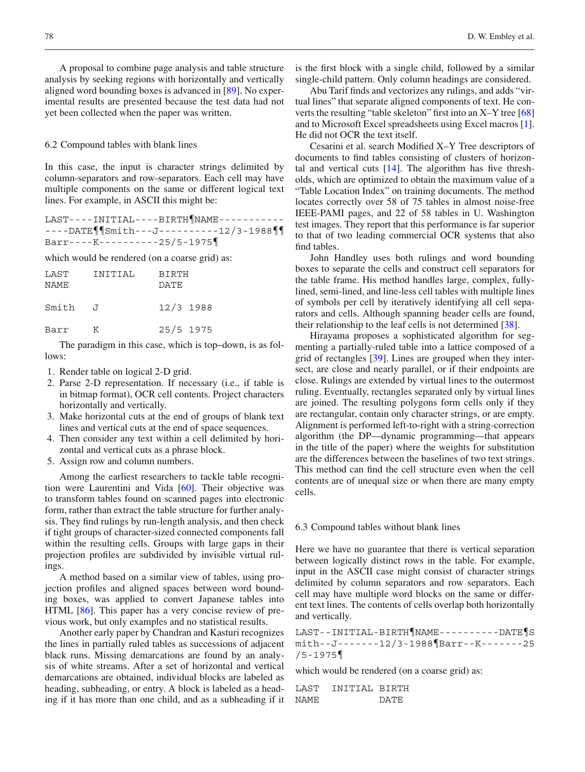A proposal to combine page analysis and table structure analysis by seeking regions with horizontally and vertically aligned word bounding boxes is advanced in [\[89\]](#page-20-14). No experimental results are presented because the test data had not yet been collected when the paper was written.

## 6.2 Compound tables with blank lines

In this case, the input is character strings delimited by column-separators and row-separators. Each cell may have multiple components on the same or different logical text lines. For example, in ASCII this might be:

LAST----INITIAL----BIRTH¶NAME----------- ----DATE¶¶Smith---J----------12/3-1988¶¶ Barr----K----------25/5-1975¶

which would be rendered (on a coarse grid) as:

| LAST<br>NAME | TNTTTAL     | <b>BIRTH</b><br><b>DATE</b> |
|--------------|-------------|-----------------------------|
| Smith        | $T_{\rm A}$ | $12/3$ 1988                 |
| Barr         | K           | 25/5 1975                   |

The paradigm in this case, which is top–down, is as follows:

- 1. Render table on logical 2-D grid.
- 2. Parse 2-D representation. If necessary (i.e., if table is in bitmap format), OCR cell contents. Project characters horizontally and vertically.
- 3. Make horizontal cuts at the end of groups of blank text lines and vertical cuts at the end of space sequences.
- 4. Then consider any text within a cell delimited by horizontal and vertical cuts as a phrase block.
- 5. Assign row and column numbers.

Among the earliest researchers to tackle table recognition were Laurentini and Vida [\[60](#page-19-9)]. Their objective was to transform tables found on scanned pages into electronic form, rather than extract the table structure for further analysis. They find rulings by run-length analysis, and then check if tight groups of character-sized connected components fall within the resulting cells. Groups with large gaps in their projection profiles are subdivided by invisible virtual rulings.

A method based on a similar view of tables, using projection profiles and aligned spaces between word bounding boxes, was applied to convert Japanese tables into HTML [\[86\]](#page-20-15). This paper has a very concise review of previous work, but only examples and no statistical results.

Another early paper by Chandran and Kasturi recognizes the lines in partially ruled tables as successions of adjacent black runs. Missing demarcations are found by an analysis of white streams. After a set of horizontal and vertical demarcations are obtained, individual blocks are labeled as heading, subheading, or entry. A block is labeled as a heading if it has more than one child, and as a subheading if it is the first block with a single child, followed by a similar single-child pattern. Only column headings are considered.

Abu Tarif finds and vectorizes any rulings, and adds "virtual lines" that separate aligned components of text. He converts the resulting "table skeleton" first into an X–Y tree [\[68](#page-19-26)] and to Microsoft Excel spreadsheets using Excel macros [\[1\]](#page-17-0). He did not OCR the text itself.

Cesarini et al. search Modified X–Y Tree descriptors of documents to find tables consisting of clusters of horizontal and vertical cuts [\[14](#page-18-29)]. The algorithm has five thresholds, which are optimized to obtain the maximum value of a "Table Location Index" on training documents. The method locates correctly over 58 of 75 tables in almost noise-free IEEE-PAMI pages, and 22 of 58 tables in U. Washington test images. They report that this performance is far superior to that of two leading commercial OCR systems that also find tables.

John Handley uses both rulings and word bounding boxes to separate the cells and construct cell separators for the table frame. His method handles large, complex, fullylined, semi-lined, and line-less cell tables with multiple lines of symbols per cell by iteratively identifying all cell separators and cells. Although spanning header cells are found, their relationship to the leaf cells is not determined [\[38](#page-18-30)].

Hirayama proposes a sophisticated algorithm for segmenting a partially-ruled table into a lattice composed of a grid of rectangles [\[39](#page-18-28)]. Lines are grouped when they intersect, are close and nearly parallel, or if their endpoints are close. Rulings are extended by virtual lines to the outermost ruling. Eventually, rectangles separated only by virtual lines are joined. The resulting polygons form cells only if they are rectangular, contain only character strings, or are empty. Alignment is performed left-to-right with a string-correction algorithm (the DP—dynamic programming—that appears in the title of the paper) where the weights for substitution are the differences between the baselines of two text strings. This method can find the cell structure even when the cell contents are of unequal size or when there are many empty cells.

## <span id="page-12-0"></span>6.3 Compound tables without blank lines

Here we have no guarantee that there is vertical separation between logically distinct rows in the table. For example, input in the ASCII case might consist of character strings delimited by column separators and row separators. Each cell may have multiple word blocks on the same or different text lines. The contents of cells overlap both horizontally and vertically.

LAST--INITIAL-BIRTH¶NAME----------DATE¶S mith--J-------12/3-1988¶Barr--K-------25 /5-1975¶

which would be rendered (on a coarse grid) as:

| LAST  | INITIAL BIRTH |       |
|-------|---------------|-------|
| NAMF. |               | DATE. |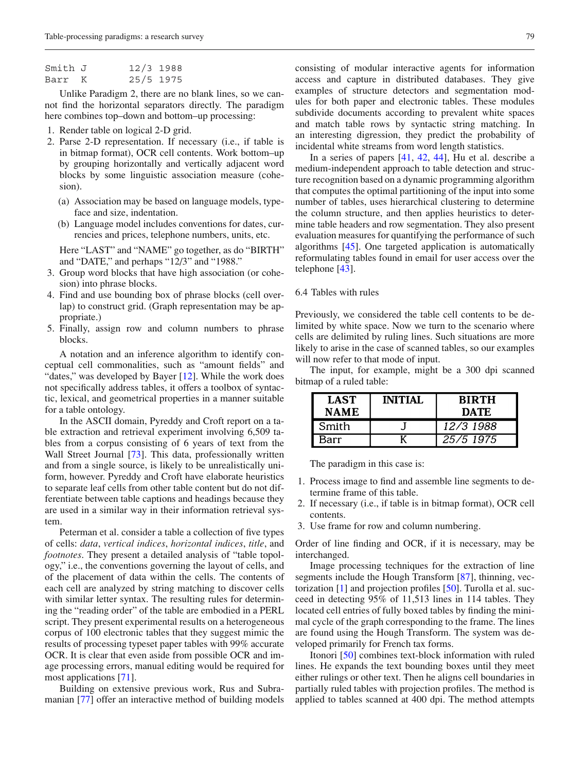| Smith J | $12/3$ 1988 |  |
|---------|-------------|--|
| Barr K  | 25/5 1975   |  |

Unlike Paradigm 2, there are no blank lines, so we cannot find the horizontal separators directly. The paradigm here combines top–down and bottom–up processing:

- 1. Render table on logical 2-D grid.
- 2. Parse 2-D representation. If necessary (i.e., if table is in bitmap format), OCR cell contents. Work bottom–up by grouping horizontally and vertically adjacent word blocks by some linguistic association measure (cohesion).
	- (a) Association may be based on language models, typeface and size, indentation.
	- (b) Language model includes conventions for dates, currencies and prices, telephone numbers, units, etc.

Here "LAST" and "NAME" go together, as do "BIRTH" and "DATE," and perhaps "12/3" and "1988."

- 3. Group word blocks that have high association (or cohesion) into phrase blocks.
- 4. Find and use bounding box of phrase blocks (cell overlap) to construct grid. (Graph representation may be appropriate.)
- 5. Finally, assign row and column numbers to phrase blocks.

A notation and an inference algorithm to identify conceptual cell commonalities, such as "amount fields" and "dates," was developed by Bayer [\[12\]](#page-18-31). While the work does not specifically address tables, it offers a toolbox of syntactic, lexical, and geometrical properties in a manner suitable for a table ontology.

In the ASCII domain, Pyreddy and Croft report on a table extraction and retrieval experiment involving 6,509 tables from a corpus consisting of 6 years of text from the Wall Street Journal [\[73\]](#page-19-10). This data, professionally written and from a single source, is likely to be unrealistically uniform, however. Pyreddy and Croft have elaborate heuristics to separate leaf cells from other table content but do not differentiate between table captions and headings because they are used in a similar way in their information retrieval system.

Peterman et al. consider a table a collection of five types of cells: *data*, *vertical indices*, *horizontal indices*, *title*, and *footnotes*. They present a detailed analysis of "table topology," i.e., the conventions governing the layout of cells, and of the placement of data within the cells. The contents of each cell are analyzed by string matching to discover cells with similar letter syntax. The resulting rules for determining the "reading order" of the table are embodied in a PERL script. They present experimental results on a heterogeneous corpus of 100 electronic tables that they suggest mimic the results of processing typeset paper tables with 99% accurate OCR. It is clear that even aside from possible OCR and image processing errors, manual editing would be required for most applications [\[71](#page-19-4)].

Building on extensive previous work, Rus and Subramanian [\[77\]](#page-19-27) offer an interactive method of building models consisting of modular interactive agents for information access and capture in distributed databases. They give examples of structure detectors and segmentation modules for both paper and electronic tables. These modules subdivide documents according to prevalent white spaces and match table rows by syntactic string matching. In an interesting digression, they predict the probability of incidental white streams from word length statistics.

In a series of papers [\[41](#page-19-6), [42,](#page-19-22) [44](#page-19-28)], Hu et al. describe a medium-independent approach to table detection and structure recognition based on a dynamic programming algorithm that computes the optimal partitioning of the input into some number of tables, uses hierarchical clustering to determine the column structure, and then applies heuristics to determine table headers and row segmentation. They also present evaluation measures for quantifying the performance of such algorithms [\[45](#page-19-29)]. One targeted application is automatically reformulating tables found in email for user access over the telephone [\[43\]](#page-19-30).

## <span id="page-13-0"></span>6.4 Tables with rules

Previously, we considered the table cell contents to be delimited by white space. Now we turn to the scenario where cells are delimited by ruling lines. Such situations are more likely to arise in the case of scanned tables, so our examples will now refer to that mode of input.

The input, for example, might be a 300 dpi scanned bitmap of a ruled table:

| <b>LAST</b><br><b>NAME</b> | <b>INITIAL</b> | <b>BIRTH</b><br><b>DATE</b> |
|----------------------------|----------------|-----------------------------|
| Smith                      |                | 12/3 1988                   |
| Barr                       |                | 25/5 1975                   |

The paradigm in this case is:

- 1. Process image to find and assemble line segments to determine frame of this table.
- 2. If necessary (i.e., if table is in bitmap format), OCR cell contents.
- 3. Use frame for row and column numbering.

Order of line finding and OCR, if it is necessary, may be interchanged.

Image processing techniques for the extraction of line segments include the Hough Transform [\[87](#page-20-10)], thinning, vectorization [\[1](#page-17-0)] and projection profiles [\[50\]](#page-19-21). Turolla et al. succeed in detecting 95% of 11,513 lines in 114 tables. They located cell entries of fully boxed tables by finding the minimal cycle of the graph corresponding to the frame. The lines are found using the Hough Transform. The system was developed primarily for French tax forms.

Itonori [\[50](#page-19-21)] combines text-block information with ruled lines. He expands the text bounding boxes until they meet either rulings or other text. Then he aligns cell boundaries in partially ruled tables with projection profiles. The method is applied to tables scanned at 400 dpi. The method attempts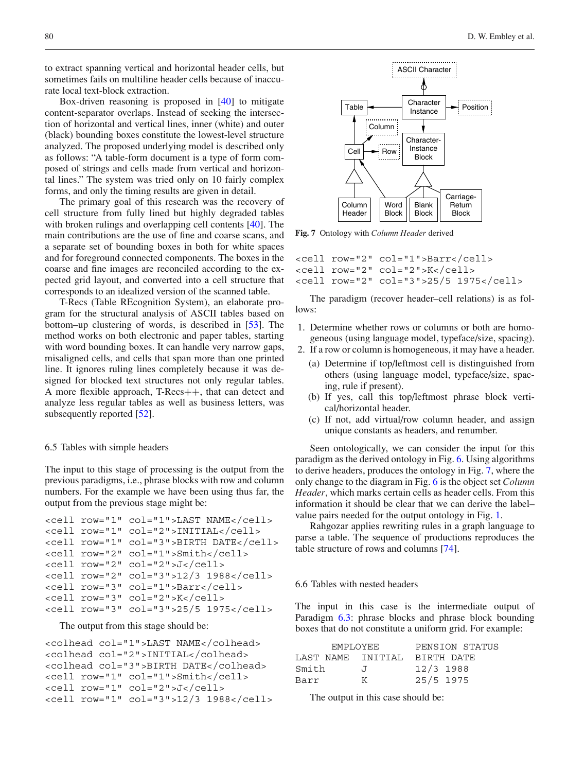to extract spanning vertical and horizontal header cells, but sometimes fails on multiline header cells because of inaccurate local text-block extraction.

Box-driven reasoning is proposed in [\[40](#page-19-31)] to mitigate content-separator overlaps. Instead of seeking the intersection of horizontal and vertical lines, inner (white) and outer (black) bounding boxes constitute the lowest-level structure analyzed. The proposed underlying model is described only as follows: "A table-form document is a type of form composed of strings and cells made from vertical and horizontal lines." The system was tried only on 10 fairly complex forms, and only the timing results are given in detail.

The primary goal of this research was the recovery of cell structure from fully lined but highly degraded tables with broken rulings and overlapping cell contents [\[40\]](#page-19-31). The main contributions are the use of fine and coarse scans, and a separate set of bounding boxes in both for white spaces and for foreground connected components. The boxes in the coarse and fine images are reconciled according to the expected grid layout, and converted into a cell structure that corresponds to an idealized version of the scanned table.

T-Recs (Table REcognition System), an elaborate program for the structural analysis of ASCII tables based on bottom–up clustering of words, is described in [\[53\]](#page-19-32). The method works on both electronic and paper tables, starting with word bounding boxes. It can handle very narrow gaps, misaligned cells, and cells that span more than one printed line. It ignores ruling lines completely because it was designed for blocked text structures not only regular tables. A more flexible approach, T-Recs++, that can detect and analyze less regular tables as well as business letters, was subsequently reported [\[52](#page-19-33)].

## 6.5 Tables with simple headers

The input to this stage of processing is the output from the previous paradigms, i.e., phrase blocks with row and column numbers. For the example we have been using thus far, the output from the previous stage might be:

```
<cell row="1" col="1">LAST NAME</cell>
<cell row="1" col="2">INITIAL</cell>
<cell row="1" col="3">BIRTH DATE</cell>
<cell row="2" col="1">Smith</cell>
<cell row="2" col="2">J</cell>
<cell row="2" col="3">12/3 1988</cell>
<cell row="3" col="1">Barr</cell>
<cell row="3" col="2">K</cell>
<cell row="3" col="3">25/5 1975</cell>
```
The output from this stage should be:

```
<colhead col="1">LAST NAME</colhead>
<colhead col="2">INITIAL</colhead>
<colhead col="3">BIRTH DATE</colhead>
<cell row="1" col="1">Smith</cell>
<cell row="1" col="2">J</cell>
<cell row="1" col="3">12/3 1988</cell>
```
ASCII Character **Character**  $Table \nightharpoonup$  Position Instance Column Character-Instance  $Cell \rightarrow Row$ Block ÷ Carriage-Column Word Blank Return Header Block Block Block

<span id="page-14-0"></span>**Fig. 7** Ontology with *Column Header* derived

```
<cell row="2" col="1">Barr</cell>
<cell row="2" col="2">K</cell>
<cell row="2" col="3">25/5 1975</cell>
```
The paradigm (recover header–cell relations) is as follows:

- 1. Determine whether rows or columns or both are homogeneous (using language model, typeface/size, spacing).
- 2. If a row or column is homogeneous, it may have a header.
	- (a) Determine if top/leftmost cell is distinguished from others (using language model, typeface/size, spacing, rule if present).
	- (b) If yes, call this top/leftmost phrase block vertical/horizontal header.
	- (c) If not, add virtual/row column header, and assign unique constants as headers, and renumber.

Seen ontologically, we can consider the input for this paradigm as the derived ontology in Fig. [6.](#page-11-3) Using algorithms to derive headers, produces the ontology in Fig. [7,](#page-14-0) where the only change to the diagram in Fig. [6](#page-11-3) is the object set *Column Header*, which marks certain cells as header cells. From this information it should be clear that we can derive the label– value pairs needed for the output ontology in Fig. [1.](#page-3-0)

Rahgozar applies rewriting rules in a graph language to parse a table. The sequence of productions reproduces the table structure of rows and columns [\[74\]](#page-19-20).

# <span id="page-14-1"></span>6.6 Tables with nested headers

The input in this case is the intermediate output of Paradigm [6.3:](#page-12-0) phrase blocks and phrase block bounding boxes that do not constitute a uniform grid. For example:

| EMPLOYEE |  |                   |            | PENSION STATUS |
|----------|--|-------------------|------------|----------------|
|          |  | LAST NAME INITIAL | RIRTH DATE |                |
| Smith    |  | $\cdot$ .         | 12/3 1988  |                |
| Barr     |  | K                 | 25/5 1975  |                |

The output in this case should be:

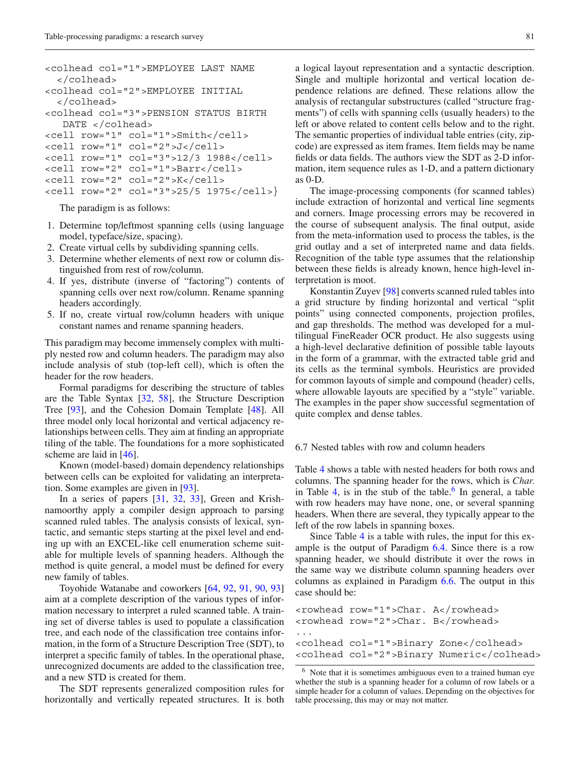```
<colhead col="1">EMPLOYEE LAST NAME
  </colhead>
<colhead col="2">EMPLOYEE INITIAL
  </colhead>
<colhead col="3">PENSION STATUS BIRTH
  DATE </colhead>
<cell row="1" col="1">Smith</cell>
<cell row="1" col="2">J</cell>
<cell row="1" col="3">12/3 1988</cell>
<cell row="2" col="1">Barr</cell>
<cell row="2" col="2">K</cell>
<cell row="2" col="3">25/5 1975</cell>}
```
The paradigm is as follows:

- 1. Determine top/leftmost spanning cells (using language model, typeface/size, spacing).
- 2. Create virtual cells by subdividing spanning cells.
- 3. Determine whether elements of next row or column distinguished from rest of row/column.
- 4. If yes, distribute (inverse of "factoring") contents of spanning cells over next row/column. Rename spanning headers accordingly.
- 5. If no, create virtual row/column headers with unique constant names and rename spanning headers.

This paradigm may become immensely complex with multiply nested row and column headers. The paradigm may also include analysis of stub (top-left cell), which is often the header for the row headers.

Formal paradigms for describing the structure of tables are the Table Syntax [\[32,](#page-18-27) [58](#page-19-34)], the Structure Description Tree [\[93](#page-20-12)], and the Cohesion Domain Template [\[48](#page-19-12)]. All three model only local horizontal and vertical adjacency relationships between cells. They aim at finding an appropriate tiling of the table. The foundations for a more sophisticated scheme are laid in [\[46](#page-19-35)].

Known (model-based) domain dependency relationships between cells can be exploited for validating an interpretation. Some examples are given in [\[93\]](#page-20-12).

In a series of papers [\[31,](#page-18-8) [32](#page-18-27), [33\]](#page-18-32), Green and Krishnamoorthy apply a compiler design approach to parsing scanned ruled tables. The analysis consists of lexical, syntactic, and semantic steps starting at the pixel level and ending up with an EXCEL-like cell enumeration scheme suitable for multiple levels of spanning headers. Although the method is quite general, a model must be defined for every new family of tables.

Toyohide Watanabe and coworkers [\[64,](#page-19-36) [92,](#page-20-16) [91,](#page-20-17) [90,](#page-20-18) [93\]](#page-20-12) aim at a complete description of the various types of information necessary to interpret a ruled scanned table. A training set of diverse tables is used to populate a classification tree, and each node of the classification tree contains information, in the form of a Structure Description Tree (SDT), to interpret a specific family of tables. In the operational phase, unrecognized documents are added to the classification tree, and a new STD is created for them.

The SDT represents generalized composition rules for horizontally and vertically repeated structures. It is both a logical layout representation and a syntactic description. Single and multiple horizontal and vertical location dependence relations are defined. These relations allow the analysis of rectangular substructures (called "structure fragments") of cells with spanning cells (usually headers) to the left or above related to content cells below and to the right. The semantic properties of individual table entries (city, zipcode) are expressed as item frames. Item fields may be name fields or data fields. The authors view the SDT as 2-D information, item sequence rules as 1-D, and a pattern dictionary as 0-D.

The image-processing components (for scanned tables) include extraction of horizontal and vertical line segments and corners. Image processing errors may be recovered in the course of subsequent analysis. The final output, aside from the meta-information used to process the tables, is the grid outlay and a set of interpreted name and data fields. Recognition of the table type assumes that the relationship between these fields is already known, hence high-level interpretation is moot.

Konstantin Zuyev [\[98\]](#page-20-13) converts scanned ruled tables into a grid structure by finding horizontal and vertical "split points" using connected components, projection profiles, and gap thresholds. The method was developed for a multilingual FineReader OCR product. He also suggests using a high-level declarative definition of possible table layouts in the form of a grammar, with the extracted table grid and its cells as the terminal symbols. Heuristics are provided for common layouts of simple and compound (header) cells, where allowable layouts are specified by a "style" variable. The examples in the paper show successful segmentation of quite complex and dense tables.

<span id="page-15-1"></span>6.7 Nested tables with row and column headers

Table [4](#page-16-0) shows a table with nested headers for both rows and columns. The spanning header for the rows, which is *Char.* in Table [4,](#page-16-0) is in the stub of the table.<sup>6</sup> In general, a table with row headers may have none, one, or several spanning headers. When there are several, they typically appear to the left of the row labels in spanning boxes.

Since Table [4](#page-16-0) is a table with rules, the input for this example is the output of Paradigm [6.4.](#page-13-0) Since there is a row spanning header, we should distribute it over the rows in the same way we distribute column spanning headers over columns as explained in Paradigm [6.6.](#page-14-1) The output in this case should be:

```
<rowhead row="1">Char. A</rowhead>
<rowhead row="2">Char. B</rowhead>
...
<colhead col="1">Binary Zone</colhead>
<colhead col="2">Binary Numeric</colhead>
```
<span id="page-15-0"></span><sup>6</sup> Note that it is sometimes ambiguous even to a trained human eye whether the stub is a spanning header for a column of row labels or a simple header for a column of values. Depending on the objectives for table processing, this may or may not matter.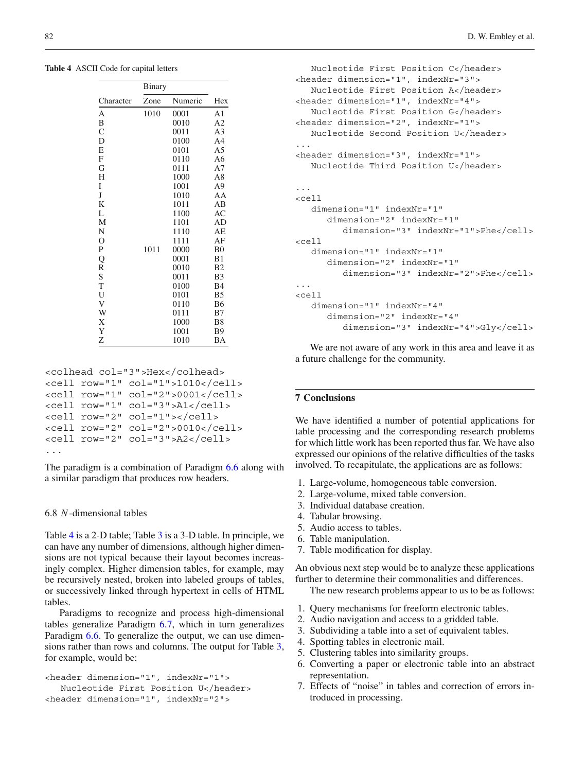<span id="page-16-0"></span>**Table 4** ASCII Code for capital letters

|              | <b>Binary</b> |         |                |
|--------------|---------------|---------|----------------|
| Character    | Zone          | Numeric | Hex            |
| A            | 1010          | 0001    | A1             |
| B            |               | 0010    | A2             |
| $\mathsf{C}$ |               | 0011    | A <sub>3</sub> |
| D            |               | 0100    | A4             |
| E            |               | 0101    | A5             |
| F            |               | 0110    | A6             |
| G            |               | 0111    | A7             |
| H            |               | 1000    | A8             |
| I            |               | 1001    | A9             |
| J            |               | 1010    | AA             |
| K            |               | 1011    | AВ             |
| L            |               | 1100    | AC             |
| M            |               | 1101    | AD             |
| N            |               | 1110    | AE             |
| 0            |               | 1111    | AF             |
| $\mathbf{P}$ | 1011          | 0000    | B <sub>0</sub> |
| Q            |               | 0001    | B1             |
| R            |               | 0010    | B <sub>2</sub> |
| S            |               | 0011    | B <sub>3</sub> |
| T            |               | 0100    | B4             |
| U            |               | 0101    | B <sub>5</sub> |
| V            |               | 0110    | <b>B6</b>      |
| W            |               | 0111    | B7             |
| X            |               | 1000    | B8             |
| Y            |               | 1001    | <b>B</b> 9     |
| Z            |               | 1010    | BA             |

```
<colhead col="3">Hex</colhead>
<cell row="1" col="1">1010</cell>
<cell row="1" col="2">0001</cell>
<cell row="1" col="3">A1</cell>
<cell row="2" col="1"></cell>
<cell row="2" col="2">0010</cell>
<cell row="2" col="3">A2</cell>
...
```
The paradigm is a combination of Paradigm [6.6](#page-14-1) along with a similar paradigm that produces row headers.

## 6.8 *N*-dimensional tables

Table [4](#page-16-0) is a 2-D table; Table [3](#page-4-0) is a 3-D table. In principle, we can have any number of dimensions, although higher dimensions are not typical because their layout becomes increasingly complex. Higher dimension tables, for example, may be recursively nested, broken into labeled groups of tables, or successively linked through hypertext in cells of HTML tables.

Paradigms to recognize and process high-dimensional tables generalize Paradigm [6.7,](#page-15-1) which in turn generalizes Paradigm [6.6.](#page-14-1) To generalize the output, we can use dimensions rather than rows and columns. The output for Table [3,](#page-4-0) for example, would be:

```
<header dimension="1", indexNr="1">
  Nucleotide First Position U</header>
<header dimension="1", indexNr="2">
```

```
Nucleotide First Position C</header>
<header dimension="1", indexNr="3">
   Nucleotide First Position A</header>
<header dimension="1", indexNr="4">
   Nucleotide First Position G</header>
<header dimension="2", indexNr="1">
   Nucleotide Second Position U</header>
...
<header dimension="3", indexNr="1">
   Nucleotide Third Position U</header>
...
<cell
   dimension="1" indexNr="1"
      dimension="2" indexNr="1"
         dimension="3" indexNr="1">Phe</cell>
<cell
   dimension="1" indexNr="1"
      dimension="2" indexNr="1"
         dimension="3" indexNr="2">Phe</cell>
...
<cell
   dimension="1" indexNr="4"
      dimension="2" indexNr="4"
         dimension="3" indexNr="4">Gly</cell>
```
We are not aware of any work in this area and leave it as a future challenge for the community.

# **7 Conclusions**

We have identified a number of potential applications for table processing and the corresponding research problems for which little work has been reported thus far. We have also expressed our opinions of the relative difficulties of the tasks involved. To recapitulate, the applications are as follows:

- 1. Large-volume, homogeneous table conversion.
- 2. Large-volume, mixed table conversion.
- 3. Individual database creation.
- 4. Tabular browsing.
- 5. Audio access to tables.
- 6. Table manipulation.
- 7. Table modification for display.

An obvious next step would be to analyze these applications further to determine their commonalities and differences.

The new research problems appear to us to be as follows:

- 1. Query mechanisms for freeform electronic tables.
- 2. Audio navigation and access to a gridded table.
- 3. Subdividing a table into a set of equivalent tables.
- 4. Spotting tables in electronic mail.
- 5. Clustering tables into similarity groups.
- 6. Converting a paper or electronic table into an abstract representation.
- 7. Effects of "noise" in tables and correction of errors introduced in processing.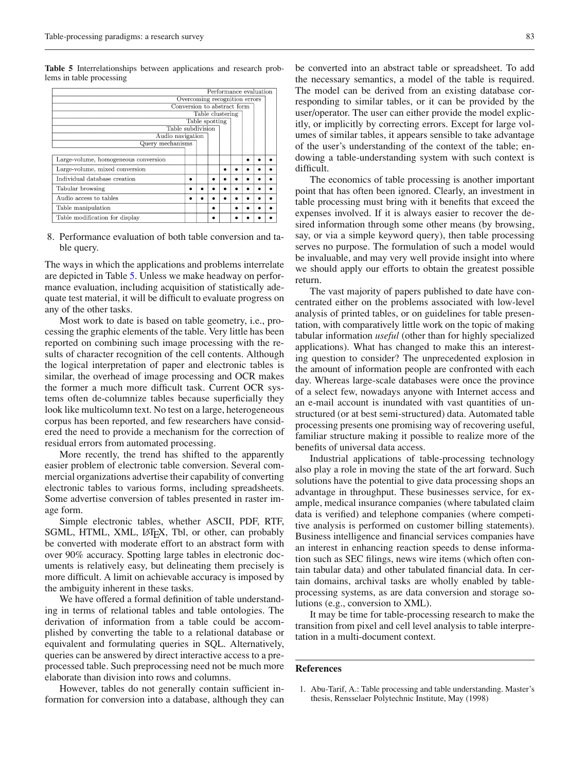<span id="page-17-1"></span>**Table 5** Interrelationships between applications and research problems in table processing

| Performance evaluation               |   |                |  |                  |  |  |  |  |
|--------------------------------------|---|----------------|--|------------------|--|--|--|--|
| Overcoming recognition errors        |   |                |  |                  |  |  |  |  |
| Conversion to abstract form          |   |                |  |                  |  |  |  |  |
|                                      |   |                |  | Table clustering |  |  |  |  |
|                                      |   | Table spotting |  |                  |  |  |  |  |
| Table subdivision                    |   |                |  |                  |  |  |  |  |
| Audio navigation                     |   |                |  |                  |  |  |  |  |
| Query mechanisms                     |   |                |  |                  |  |  |  |  |
|                                      |   |                |  |                  |  |  |  |  |
| Large-volume, homogeneous conversion |   |                |  |                  |  |  |  |  |
| Large-volume, mixed conversion       |   |                |  |                  |  |  |  |  |
| Individual database creation         | ٠ |                |  |                  |  |  |  |  |
| Tabular browsing                     |   |                |  |                  |  |  |  |  |
| Audio access to tables               |   |                |  |                  |  |  |  |  |
| Table manipulation                   |   |                |  |                  |  |  |  |  |
| Table modification for display       |   |                |  |                  |  |  |  |  |

8. Performance evaluation of both table conversion and table query.

The ways in which the applications and problems interrelate are depicted in Table [5.](#page-17-1) Unless we make headway on performance evaluation, including acquisition of statistically adequate test material, it will be difficult to evaluate progress on any of the other tasks.

Most work to date is based on table geometry, i.e., processing the graphic elements of the table. Very little has been reported on combining such image processing with the results of character recognition of the cell contents. Although the logical interpretation of paper and electronic tables is similar, the overhead of image processing and OCR makes the former a much more difficult task. Current OCR systems often de-columnize tables because superficially they look like multicolumn text. No test on a large, heterogeneous corpus has been reported, and few researchers have considered the need to provide a mechanism for the correction of residual errors from automated processing.

More recently, the trend has shifted to the apparently easier problem of electronic table conversion. Several commercial organizations advertise their capability of converting electronic tables to various forms, including spreadsheets. Some advertise conversion of tables presented in raster image form.

Simple electronic tables, whether ASCII, PDF, RTF, SGML, HTML, XML, L<sup>AT</sup>FX, Tbl, or other, can probably be converted with moderate effort to an abstract form with over 90% accuracy. Spotting large tables in electronic documents is relatively easy, but delineating them precisely is more difficult. A limit on achievable accuracy is imposed by the ambiguity inherent in these tasks.

We have offered a formal definition of table understanding in terms of relational tables and table ontologies. The derivation of information from a table could be accomplished by converting the table to a relational database or equivalent and formulating queries in SQL. Alternatively, queries can be answered by direct interactive access to a preprocessed table. Such preprocessing need not be much more elaborate than division into rows and columns.

However, tables do not generally contain sufficient information for conversion into a database, although they can be converted into an abstract table or spreadsheet. To add the necessary semantics, a model of the table is required. The model can be derived from an existing database corresponding to similar tables, or it can be provided by the user/operator. The user can either provide the model explicitly, or implicitly by correcting errors. Except for large volumes of similar tables, it appears sensible to take advantage of the user's understanding of the context of the table; endowing a table-understanding system with such context is difficult.

The economics of table processing is another important point that has often been ignored. Clearly, an investment in table processing must bring with it benefits that exceed the expenses involved. If it is always easier to recover the desired information through some other means (by browsing, say, or via a simple keyword query), then table processing serves no purpose. The formulation of such a model would be invaluable, and may very well provide insight into where we should apply our efforts to obtain the greatest possible return.

The vast majority of papers published to date have concentrated either on the problems associated with low-level analysis of printed tables, or on guidelines for table presentation, with comparatively little work on the topic of making tabular information *useful* (other than for highly specialized applications). What has changed to make this an interesting question to consider? The unprecedented explosion in the amount of information people are confronted with each day. Whereas large-scale databases were once the province of a select few, nowadays anyone with Internet access and an e-mail account is inundated with vast quantities of unstructured (or at best semi-structured) data. Automated table processing presents one promising way of recovering useful, familiar structure making it possible to realize more of the benefits of universal data access.

Industrial applications of table-processing technology also play a role in moving the state of the art forward. Such solutions have the potential to give data processing shops an advantage in throughput. These businesses service, for example, medical insurance companies (where tabulated claim data is verified) and telephone companies (where competitive analysis is performed on customer billing statements). Business intelligence and financial services companies have an interest in enhancing reaction speeds to dense information such as SEC filings, news wire items (which often contain tabular data) and other tabulated financial data. In certain domains, archival tasks are wholly enabled by tableprocessing systems, as are data conversion and storage solutions (e.g., conversion to XML).

It may be time for table-processing research to make the transition from pixel and cell level analysis to table interpretation in a multi-document context.

#### <span id="page-17-0"></span>**References**

1. Abu-Tarif, A.: Table processing and table understanding. Master's thesis, Rensselaer Polytechnic Institute, May (1998)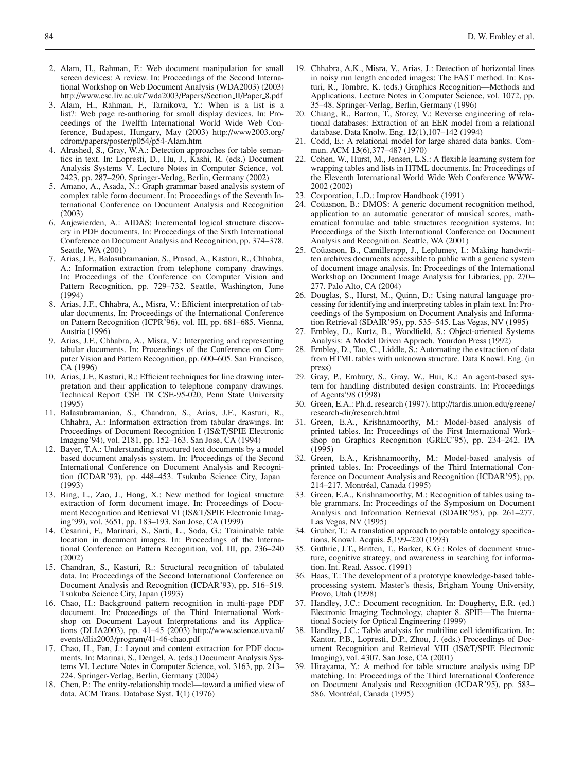- <span id="page-18-16"></span>2. Alam, H., Rahman, F.: Web document manipulation for small screen devices: A review. In: Proceedings of the Second International Workshop on Web Document Analysis (WDA2003) (2003) http://www.csc.liv.ac.uk/˜wda2003/Papers/Section II/Paper 8.pdf
- <span id="page-18-17"></span>3. Alam, H., Rahman, F., Tarnikova, Y.: When is a list is a list?: Web page re-authoring for small display devices. In: Proceedings of the Twelfth International World Wide Web Conference, Budapest, Hungary, May (2003) http://www2003.org/ cdrom/papers/poster/p054/p54-Alam.htm
- <span id="page-18-12"></span>4. Alrashed, S., Gray, W.A.: Detection approaches for table semantics in text. In: Lopresti, D., Hu, J., Kashi, R. (eds.) Document Analysis Systems V. Lecture Notes in Computer Science, vol. 2423, pp. 287–290. Springer-Verlag, Berlin, Germany (2002)
- <span id="page-18-20"></span>5. Amano, A., Asada, N.: Graph grammar based analysis system of complex table form document. In: Proceedings of the Seventh International Conference on Document Analysis and Recognition (2003)
- <span id="page-18-21"></span>6. Anjewierden, A.: AIDAS: Incremental logical structure discovery in PDF documents. In: Proceedings of the Sixth International Conference on Document Analysis and Recognition, pp. 374–378. Seattle, WA (2001)
- 7. Arias, J.F., Balasubramanian, S., Prasad, A., Kasturi, R., Chhabra, A.: Information extraction from telephone company drawings. In: Proceedings of the Conference on Computer Vision and Pattern Recognition, pp. 729–732. Seattle, Washington, June (1994)
- 8. Arias, J.F., Chhabra, A., Misra, V.: Efficient interpretation of tabular documents. In: Proceedings of the International Conference on Pattern Recognition (ICPR'96), vol. III, pp. 681–685. Vienna, Austria (1996)
- 9. Arias, J.F., Chhabra, A., Misra, V.: Interpreting and representing tabular documents. In: Proceedings of the Conference on Computer Vision and Pattern Recognition, pp. 600–605. San Francisco, CA (1996)
- <span id="page-18-25"></span>10. Arias, J.F., Kasturi, R.: Efficient techniques for line drawing interpretation and their application to telephone company drawings. Technical Report CSE TR CSE-95-020, Penn State University (1995)
- 11. Balasubramanian, S., Chandran, S., Arias, J.F., Kasturi, R., Chhabra, A.: Information extraction from tabular drawings. In: Proceedings of Document Recognition I (IS&T/SPIE Electronic Imaging'94), vol. 2181, pp. 152–163. San Jose, CA (1994)
- <span id="page-18-31"></span>12. Bayer, T.A.: Understanding structured text documents by a model based document analysis system. In: Proceedings of the Second International Conference on Document Analysis and Recognition (ICDAR'93), pp. 448–453. Tsukuba Science City, Japan (1993)
- <span id="page-18-19"></span>13. Bing, L., Zao, J., Hong, X.: New method for logical structure extraction of form document image. In: Proceedings of Document Recognition and Retrieval VI (IS&T/SPIE Electronic Imaging'99), vol. 3651, pp. 183–193. San Jose, CA (1999)
- <span id="page-18-29"></span>14. Cesarini, F., Marinari, S., Sarti, L., Soda, G.: Traininable table location in document images. In: Proceedings of the International Conference on Pattern Recognition, vol. III, pp. 236–240 (2002)
- <span id="page-18-26"></span>15. Chandran, S., Kasturi, R.: Structural recognition of tabulated data. In: Proceedings of the Second International Conference on Document Analysis and Recognition (ICDAR'93), pp. 516–519. Tsukuba Science City, Japan (1993)
- <span id="page-18-22"></span>16. Chao, H.: Background pattern recognition in multi-page PDF document. In: Proceedings of the Third International Workshop on Document Layout Interpretations and its Applications (DLIA2003), pp. 41–45 (2003) http://www.science.uva.nl/ events/dlia2003/program/41-46-chao.pdf
- <span id="page-18-23"></span>17. Chao, H., Fan, J.: Layout and content extraction for PDF documents. In: Marinai, S., Dengel, A. (eds.) Document Analysis Systems VI. Lecture Notes in Computer Science, vol. 3163, pp. 213– 224. Springer-Verlag, Berlin, Germany (2004)
- <span id="page-18-6"></span>18. Chen, P.: The entity-relationship model—toward a unified view of data. ACM Trans. Database Syst. **1**(1) (1976)
- 19. Chhabra, A.K., Misra, V., Arias, J.: Detection of horizontal lines in noisy run length encoded images: The FAST method. In: Kasturi, R., Tombre, K. (eds.) Graphics Recognition—Methods and Applications. Lecture Notes in Computer Science, vol. 1072, pp. 35–48. Springer-Verlag, Berlin, Germany (1996)
- <span id="page-18-5"></span>20. Chiang, R., Barron, T., Storey, V.: Reverse engineering of relational databases: Extraction of an EER model from a relational database. Data Knolw. Eng. **12**(1),107–142 (1994)
- <span id="page-18-2"></span>21. Codd, E.: A relational model for large shared data banks. Commun. ACM **13**(6),377–487 (1970)
- <span id="page-18-18"></span>22. Cohen, W., Hurst, M., Jensen, L.S.: A flexible learning system for wrapping tables and lists in HTML documents. In: Proceedings of the Eleventh International World Wide Web Conference WWW-2002 (2002)
- <span id="page-18-13"></span>23. Corporation, L.D.: Improv Handbook (1991)<br>24. Coüasnon, B.: DMOS: A generic document
- <span id="page-18-9"></span>Coüasnon, B.: DMOS: A generic document recognition method, application to an automatic generator of musical scores, mathematical formulae and table structures recognition systems. In: Proceedings of the Sixth International Conference on Document Analysis and Recognition. Seattle, WA (2001)
- <span id="page-18-10"></span>25. Coüasnon, B., Camillerapp, J., Leplumey, I.: Making handwritten archives documents accessible to public with a generic system of document image analysis. In: Proceedings of the International Workshop on Document Image Analysis for Libraries, pp. 270– 277. Palo Alto, CA (2004)
- <span id="page-18-24"></span>26. Douglas, S., Hurst, M., Quinn, D.: Using natural language processing for identifying and interpreting tables in plain text. In: Proceedings of the Symposium on Document Analysis and Information Retrieval (SDAIR'95), pp. 535–545. Las Vegas, NV (1995)
- <span id="page-18-7"></span>Embley, D., Kurtz, B., Woodfield, S.: Object-oriented Systems Analysis: A Model Driven Apprach. Yourdon Press (1992)
- <span id="page-18-1"></span>28. Embley, D., Tao, C., Liddle, S.: Automating the extraction of data from HTML tables with unknown structure. Data Knowl. Eng. (in press)
- <span id="page-18-15"></span>29. Gray, P., Embury, S., Gray, W., Hui, K.: An agent-based system for handling distributed design constraints. In: Proceedings of Agents'98 (1998)
- <span id="page-18-11"></span>30. Green, E.A.: Ph.d. research (1997). http://tardis.union.edu/greene/ research-dir/research.html
- <span id="page-18-8"></span>31. Green, E.A., Krishnamoorthy, M.: Model-based analysis of printed tables. In: Proceedings of the First International Workshop on Graphics Recognition (GREC'95), pp. 234–242. PA (1995)
- <span id="page-18-27"></span>32. Green, E.A., Krishnamoorthy, M.: Model-based analysis of printed tables. In: Proceedings of the Third International Conference on Document Analysis and Recognition (ICDAR'95), pp. 214–217. Montréal, Canada (1995)
- <span id="page-18-32"></span>33. Green, E.A., Krishnamoorthy, M.: Recognition of tables using table grammars. In: Proceedings of the Symposium on Document Analysis and Information Retrieval (SDAIR'95), pp. 261–277. Las Vegas, NV (1995)
- <span id="page-18-4"></span>34. Gruber, T.: A translation approach to portable ontology specifications. Knowl. Acquis. **5**,199–220 (1993)
- <span id="page-18-14"></span>35. Guthrie, J.T., Britten, T., Barker, K.G.: Roles of document structure, cognitive strategy, and awareness in searching for information. Int. Read. Assoc. (1991)
- <span id="page-18-3"></span>36. Haas, T.: The development of a prototype knowledge-based tableprocessing system. Master's thesis, Brigham Young University, Provo, Utah (1998)
- <span id="page-18-0"></span>37. Handley, J.C.: Document recognition. In: Dougherty, E.R. (ed.) Electronic Imaging Technology, chapter 8. SPIE—The International Society for Optical Engineering (1999)
- <span id="page-18-30"></span>38. Handley, J.C.: Table analysis for multiline cell identification. In: Kantor, P.B., Lopresti, D.P., Zhou, J. (eds.) Proceedings of Document Recognition and Retrieval VIII (IS&T/SPIE Electronic Imaging), vol. 4307. San Jose, CA (2001)
- <span id="page-18-28"></span>39. Hirayama, Y.: A method for table structure analysis using DP matching. In: Proceedings of the Third International Conference on Document Analysis and Recognition (ICDAR'95), pp. 583– 586. Montréal, Canada (1995)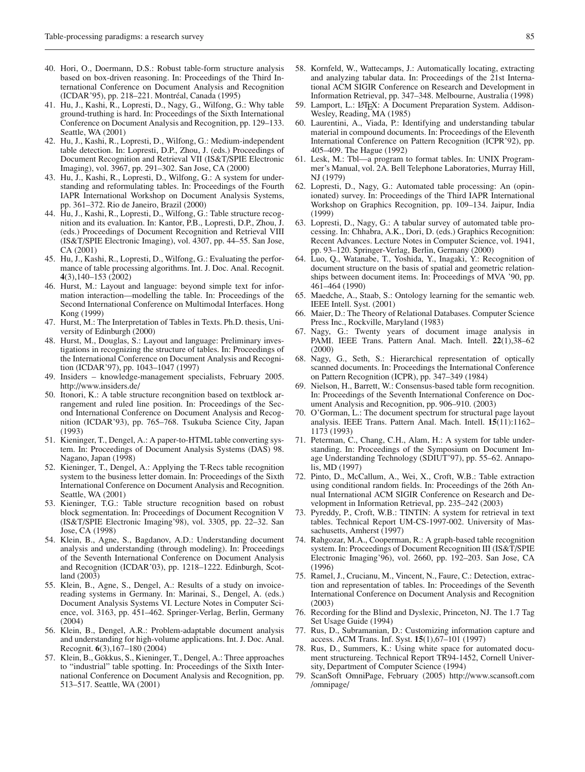- <span id="page-19-31"></span>40. Hori, O., Doermann, D.S.: Robust table-form structure analysis based on box-driven reasoning. In: Proceedings of the Third International Conference on Document Analysis and Recognition (ICDAR'95), pp. 218–221. Montreal, Canada (1995) ´
- <span id="page-19-6"></span>41. Hu, J., Kashi, R., Lopresti, D., Nagy, G., Wilfong, G.: Why table ground-truthing is hard. In: Proceedings of the Sixth International Conference on Document Analysis and Recognition, pp. 129–133. Seattle, WA (2001)
- <span id="page-19-22"></span>42. Hu, J., Kashi, R., Lopresti, D., Wilfong, G.: Medium-independent table detection. In: Lopresti, D.P., Zhou, J. (eds.) Proceedings of Document Recognition and Retrieval VII (IS&T/SPIE Electronic Imaging), vol. 3967, pp. 291–302. San Jose, CA (2000)
- <span id="page-19-30"></span>43. Hu, J., Kashi, R., Lopresti, D., Wilfong, G.: A system for understanding and reformulating tables. In: Proceedings of the Fourth IAPR International Workshop on Document Analysis Systems, pp. 361–372. Rio de Janeiro, Brazil (2000)
- <span id="page-19-28"></span>44. Hu, J., Kashi, R., Lopresti, D., Wilfong, G.: Table structure recognition and its evaluation. In: Kantor, P.B., Lopresti, D.P., Zhou, J. (eds.) Proceedings of Document Recognition and Retrieval VIII (IS&T/SPIE Electronic Imaging), vol. 4307, pp. 44–55. San Jose, CA (2001)
- <span id="page-19-29"></span>45. Hu, J., Kashi, R., Lopresti, D., Wilfong, G.: Evaluating the performance of table processing algorithms. Int. J. Doc. Anal. Recognit. **4**(3),140–153 (2002)
- <span id="page-19-35"></span>46. Hurst, M.: Layout and language: beyond simple text for information interaction—modelling the table. In: Proceedings of the Second International Conference on Multimodal Interfaces. Hong Kong (1999)
- <span id="page-19-0"></span>47. Hurst, M.: The Interpretation of Tables in Texts. Ph.D. thesis, University of Edinburgh (2000)
- <span id="page-19-12"></span>48. Hurst, M., Douglas, S.: Layout and language: Preliminary investigations in recognizing the structure of tables. In: Proceedings of the International Conference on Document Analysis and Recognition (ICDAR'97), pp. 1043–1047 (1997)
- <span id="page-19-16"></span>49. Insiders – knowledge-management specialists, February 2005. http://www.insiders.de/
- <span id="page-19-21"></span>50. Itonori, K.: A table structure recongnition based on textblock arrangement and ruled line position. In: Proceedings of the Second International Conference on Document Analysis and Recognition (ICDAR'93), pp. 765–768. Tsukuba Science City, Japan (1993)
- <span id="page-19-8"></span>51. Kieninger, T., Dengel, A.: A paper-to-HTML table converting system. In: Proceedings of Document Analysis Systems (DAS) 98. Nagano, Japan (1998)
- <span id="page-19-33"></span>52. Kieninger, T., Dengel, A.: Applying the T-Recs table recognition system to the business letter domain. In: Proceedings of the Sixth International Conference on Document Analysis and Recognition. Seattle, WA (2001)
- <span id="page-19-32"></span>53. Kieninger, T.G.: Table structure recognition based on robust block segmentation. In: Proceedings of Document Recognition V (IS&T/SPIE Electronic Imaging'98), vol. 3305, pp. 22–32. San Jose, CA (1998)
- 54. Klein, B., Agne, S., Bagdanov, A.D.: Understanding document analysis and understanding (through modeling). In: Proceedings of the Seventh International Conference on Document Analysis and Recognition (ICDAR'03), pp. 1218–1222. Edinburgh, Scotland (2003)
- 55. Klein, B., Agne, S., Dengel, A.: Results of a study on invoicereading systems in Germany. In: Marinai, S., Dengel, A. (eds.) Document Analysis Systems VI. Lecture Notes in Computer Science, vol. 3163, pp. 451–462. Springer-Verlag, Berlin, Germany (2004)
- 56. Klein, B., Dengel, A.R.: Problem-adaptable document analysis and understanding for high-volume applications. Int. J. Doc. Anal. Recognit. **6**(3),167–180 (2004)
- <span id="page-19-23"></span>57. Klein, B., Gökkus, S., Kieninger, T., Dengel, A.: Three approaches to "industrial" table spotting. In: Proceedings of the Sixth International Conference on Document Analysis and Recognition, pp. 513–517. Seattle, WA (2001)
- <span id="page-19-34"></span>58. Kornfeld, W., Wattecamps, J.: Automatically locating, extracting and analyzing tabular data. In: Proceedings of the 21st International ACM SIGIR Conference on Research and Development in Information Retrieval, pp. 347–348. Melbourne, Australia (1998)
- <span id="page-19-19"></span>59. Lamport, L.: LATEX: A Document Preparation System. Addison-Wesley, Reading, MA (1985)
- <span id="page-19-9"></span>60. Laurentini, A., Viada, P.: Identifying and understanding tabular material in compound documents. In: Proceedings of the Eleventh International Conference on Pattern Recognition (ICPR'92), pp. 405–409. The Hague (1992)
- <span id="page-19-18"></span>61. Lesk, M.: Tbl—a program to format tables. In: UNIX Programmer's Manual, vol. 2A. Bell Telephone Laboratories, Murray Hill, NJ (1979)
- <span id="page-19-2"></span>62. Lopresti, D., Nagy, G.: Automated table processing: An (opinionated) survey. In: Proceedings of the Third IAPR International Workshop on Graphics Recognition, pp. 109–134. Jaipur, India (1999)
- <span id="page-19-3"></span>63. Lopresti, D., Nagy, G.: A tabular survey of automated table processing. In: Chhabra, A.K., Dori, D. (eds.) Graphics Recognition: Recent Advances. Lecture Notes in Computer Science, vol. 1941, pp. 93–120. Springer-Verlag, Berlin, Germany (2000)
- <span id="page-19-36"></span>64. Luo, Q., Watanabe, T., Yoshida, Y., Inagaki, Y.: Recognition of document structure on the basis of spatial and geometric relationships between document items. In: Proceedings of MVA '90, pp. 461–464 (1990)
- <span id="page-19-14"></span>65. Maedche, A., Staab, S.: Ontology learning for the semantic web. IEEE Intell. Syst. (2001)
- <span id="page-19-5"></span>66. Maier, D.: The Theory of Relational Databases. Computer Science Press Inc., Rockville, Maryland (1983)
- <span id="page-19-1"></span>67. Nagy, G.: Twenty years of document image analysis in PAMI. IEEE Trans. Pattern Anal. Mach. Intell. **22**(1),38–62 (2000)
- <span id="page-19-26"></span>68. Nagy, G., Seth, S.: Hierarchical representation of optically scanned documents. In: Proceedings the International Conference on Pattern Recognition (ICPR), pp. 347–349 (1984)
- <span id="page-19-17"></span>Nielson, H., Barrett, W.: Consensus-based table form recognition. In: Proceedings of the Seventh International Conference on Document Analysis and Recognition, pp. 906–910. (2003)
- <span id="page-19-25"></span>70. O'Gorman, L.: The document spectrum for structural page layout analysis. IEEE Trans. Pattern Anal. Mach. Intell. **15**(11):1162– 1173 (1993)
- <span id="page-19-4"></span>71. Peterman, C., Chang, C.H., Alam, H.: A system for table understanding. In: Proceedings of the Symposium on Document Image Understanding Technology (SDIUT'97), pp. 55–62. Annapolis, MD (1997)
- <span id="page-19-24"></span>72. Pinto, D., McCallum, A., Wei, X., Croft, W.B.: Table extraction using conditional random fields. In: Proceedings of the 26th Annual International ACM SIGIR Conference on Research and Development in Information Retrieval, pp. 235–242 (2003)
- <span id="page-19-10"></span>73. Pyreddy, P., Croft, W.B.: TINTIN: A system for retrieval in text tables. Technical Report UM-CS-1997-002. University of Massachusetts, Amherst (1997)
- <span id="page-19-20"></span>Rahgozar, M.A., Cooperman, R.: A graph-based table recognition system. In: Proceedings of Document Recognition III (IS&T/SPIE Electronic Imaging'96), vol. 2660, pp. 192–203. San Jose, CA (1996)
- <span id="page-19-13"></span>75. Ramel, J., Crucianu, M., Vincent, N., Faure, C.: Detection, extraction and representation of tables. In: Proceedings of the Seventh International Conference on Document Analysis and Recognition (2003)
- <span id="page-19-11"></span>76. Recording for the Blind and Dyslexic, Princeton, NJ. The 1.7 Tag Set Usage Guide (1994)
- <span id="page-19-27"></span>77. Rus, D., Subramanian, D.: Customizing information capture and access. ACM Trans. Inf. Syst. **15**(1),67–101 (1997)
- <span id="page-19-7"></span>Rus, D., Summers, K.: Using white space for automated document structureing. Technical Report TR94-1452, Cornell University, Department of Computer Science (1994)
- <span id="page-19-15"></span>79. ScanSoft OmniPage, February (2005) http://www.scansoft.com /omnipage/